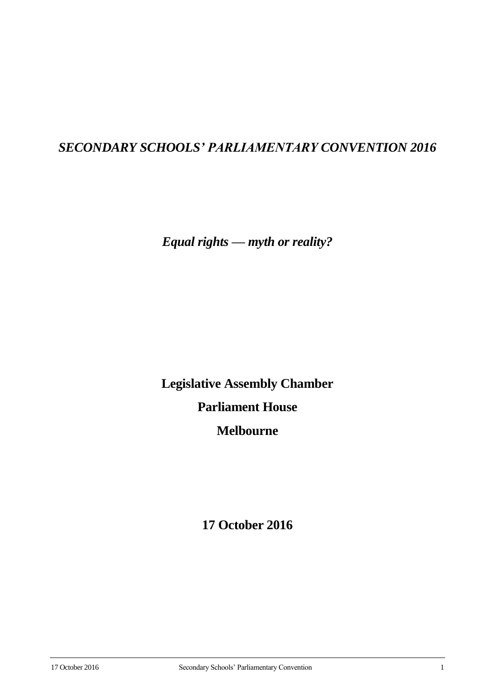# *SECONDARY SCHOOLS' PARLIAMENTARY CONVENTION 2016*

*Equal rights — myth or reality?*

**Legislative Assembly Chamber Parliament House Melbourne**

**17 October 2016**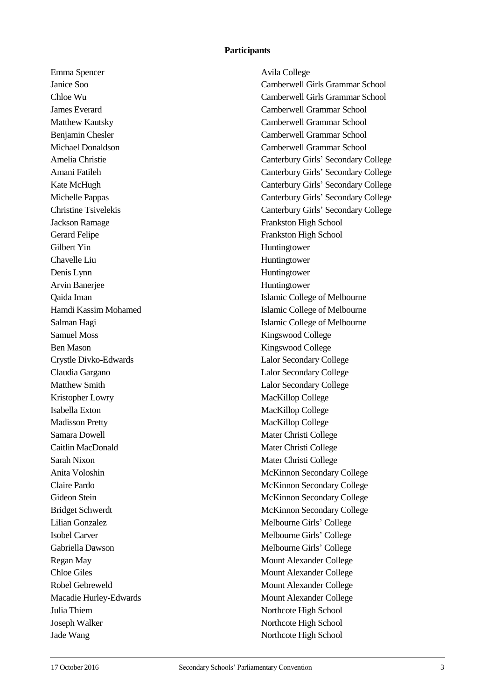#### **Participants**

Emma Spencer Avila College Jackson Ramage Frankston High School Gerard Felipe Frankston High School Gilbert Yin Huntingtower Chavelle Liu Huntingtower Denis Lynn Huntingtower Arvin Banerjee Huntingtower Samuel Moss Kingswood College Ben Mason Kingswood College Crystle Divko-Edwards Lalor Secondary College Claudia Gargano Lalor Secondary College Matthew Smith Lalor Secondary College Kristopher Lowry MacKillop College Isabella Exton MacKillop College Madisson Pretty MacKillop College Samara Dowell Mater Christi College Caitlin MacDonald Mater Christi College Sarah Nixon Mater Christi College Lilian Gonzalez Melbourne Girls' College Isobel Carver Melbourne Girls' College Gabriella Dawson Melbourne Girls' College Regan May Mount Alexander College Chloe Giles Mount Alexander College Robel Gebreweld Mount Alexander College Macadie Hurley-Edwards Mount Alexander College Julia Thiem Northcote High School Joseph Walker Northcote High School Jade Wang Northcote High School

Janice Soo Camberwell Girls Grammar School Chloe Wu Camberwell Girls Grammar School James Everard Camberwell Grammar School Matthew Kautsky Camberwell Grammar School Benjamin Chesler Camberwell Grammar School Michael Donaldson Camberwell Grammar School Amelia Christie Canterbury Girls' Secondary College Amani Fatileh Canterbury Girls' Secondary College Kate McHugh Canterbury Girls' Secondary College Michelle Pappas Canterbury Girls' Secondary College Christine Tsivelekis Canterbury Girls' Secondary College Qaida Iman Islamic College of Melbourne Hamdi Kassim Mohamed **Islamic College of Melbourne** Salman Hagi Islamic College of Melbourne Anita Voloshin McKinnon Secondary College Claire Pardo McKinnon Secondary College Gideon Stein McKinnon Secondary College Bridget Schwerdt McKinnon Secondary College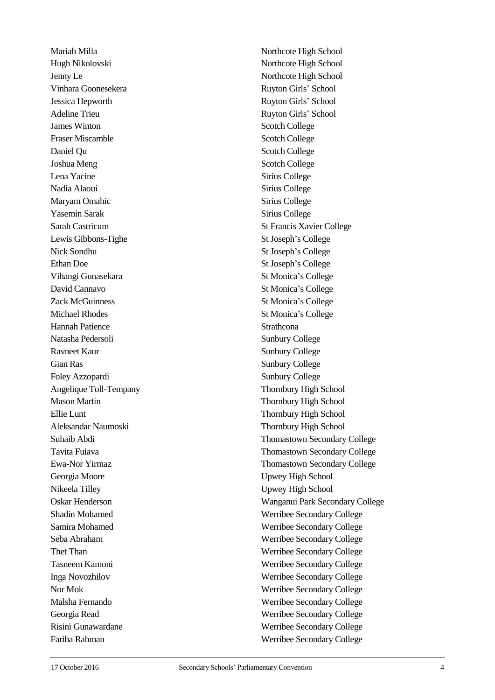Hugh Nikolovski Northcote High School Jenny Le Northcote High School Vinhara Goonesekera **Ruyton Girls' School** Jessica Hepworth Ruyton Girls' School Adeline Trieu Ruyton Girls' School **James Winton** Scotch College Fraser Miscamble Scotch College Daniel Ou Scotch College Joshua Meng Scotch College Lena Yacine Sirius College Nadia Alaoui Sirius College Maryam Omahic Sirius College Yasemin Sarak Sirius College Sarah Castricum St Francis Xavier College Lewis Gibbons-Tighe St Joseph's College Nick Sondhu St Joseph's College Ethan Doe St Joseph's College Vihangi Gunasekara St Monica's College David Cannavo St Monica's College Zack McGuinness St Monica's College Michael Rhodes St Monica's College Hannah Patience Strathcona Natasha Pedersoli Sunbury College Ravneet Kaur Sunbury College Gian Ras Sunbury College Foley Azzopardi Sunbury College Angelique Toll-Tempany Thornbury High School Mason Martin Thornbury High School Ellie Lunt Thornbury High School Aleksandar Naumoski Thornbury High School Georgia Moore Upwey High School Nikeela Tilley Upwey High School Fariha Rahman Werribee Secondary College

Mariah Milla Northcote High School Suhaib Abdi Thomastown Secondary College Tavita Fuiava Thomastown Secondary College Ewa-Nor Yirmaz Thomastown Secondary College Oskar Henderson Wanganui Park Secondary College Shadin Mohamed Werribee Secondary College Samira Mohamed Werribee Secondary College Seba Abraham Werribee Secondary College Thet Than Werribee Secondary College Tasneem Kamoni Werribee Secondary College Inga Novozhilov Werribee Secondary College Nor Mok Werribee Secondary College Malsha Fernando Werribee Secondary College Georgia Read Werribee Secondary College Risini Gunawardane Werribee Secondary College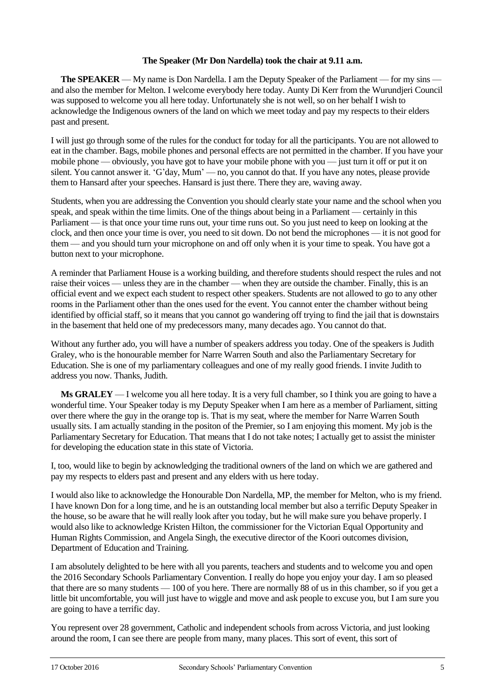## **The Speaker (Mr Don Nardella) took the chair at 9.11 a.m.**

**The SPEAKER** — My name is Don Nardella. I am the Deputy Speaker of the Parliament — for my sins and also the member for Melton. I welcome everybody here today. Aunty Di Kerr from the Wurundjeri Council was supposed to welcome you all here today. Unfortunately she is not well, so on her behalf I wish to acknowledge the Indigenous owners of the land on which we meet today and pay my respects to their elders past and present.

I will just go through some of the rules for the conduct for today for all the participants. You are not allowed to eat in the chamber. Bags, mobile phones and personal effects are not permitted in the chamber. If you have your mobile phone — obviously, you have got to have your mobile phone with you — just turn it off or put it on silent. You cannot answer it. 'G'day, Mum' — no, you cannot do that. If you have any notes, please provide them to Hansard after your speeches. Hansard is just there. There they are, waving away.

Students, when you are addressing the Convention you should clearly state your name and the school when you speak, and speak within the time limits. One of the things about being in a Parliament — certainly in this Parliament — is that once your time runs out, your time runs out. So you just need to keep on looking at the clock, and then once your time is over, you need to sit down. Do not bend the microphones — it is not good for them — and you should turn your microphone on and off only when it is your time to speak. You have got a button next to your microphone.

A reminder that Parliament House is a working building, and therefore students should respect the rules and not raise their voices — unless they are in the chamber — when they are outside the chamber. Finally, this is an official event and we expect each student to respect other speakers. Students are not allowed to go to any other rooms in the Parliament other than the ones used for the event. You cannot enter the chamber without being identified by official staff, so it means that you cannot go wandering off trying to find the jail that is downstairs in the basement that held one of my predecessors many, many decades ago. You cannot do that.

Without any further ado, you will have a number of speakers address you today. One of the speakers is Judith Graley, who is the honourable member for Narre Warren South and also the Parliamentary Secretary for Education. She is one of my parliamentary colleagues and one of my really good friends. I invite Judith to address you now. Thanks, Judith.

**Ms GRALEY** — I welcome you all here today. It is a very full chamber, so I think you are going to have a wonderful time. Your Speaker today is my Deputy Speaker when I am here as a member of Parliament, sitting over there where the guy in the orange top is. That is my seat, where the member for Narre Warren South usually sits. I am actually standing in the positon of the Premier, so I am enjoying this moment. My job is the Parliamentary Secretary for Education. That means that I do not take notes; I actually get to assist the minister for developing the education state in this state of Victoria.

I, too, would like to begin by acknowledging the traditional owners of the land on which we are gathered and pay my respects to elders past and present and any elders with us here today.

I would also like to acknowledge the Honourable Don Nardella, MP, the member for Melton, who is my friend. I have known Don for a long time, and he is an outstanding local member but also a terrific Deputy Speaker in the house, so be aware that he will really look after you today, but he will make sure you behave properly. I would also like to acknowledge Kristen Hilton, the commissioner for the Victorian Equal Opportunity and Human Rights Commission, and Angela Singh, the executive director of the Koori outcomes division, Department of Education and Training.

I am absolutely delighted to be here with all you parents, teachers and students and to welcome you and open the 2016 Secondary Schools Parliamentary Convention. I really do hope you enjoy your day. I am so pleased that there are so many students — 100 of you here. There are normally 88 of us in this chamber, so if you get a little bit uncomfortable, you will just have to wiggle and move and ask people to excuse you, but I am sure you are going to have a terrific day.

You represent over 28 government, Catholic and independent schools from across Victoria, and just looking around the room, I can see there are people from many, many places. This sort of event, this sort of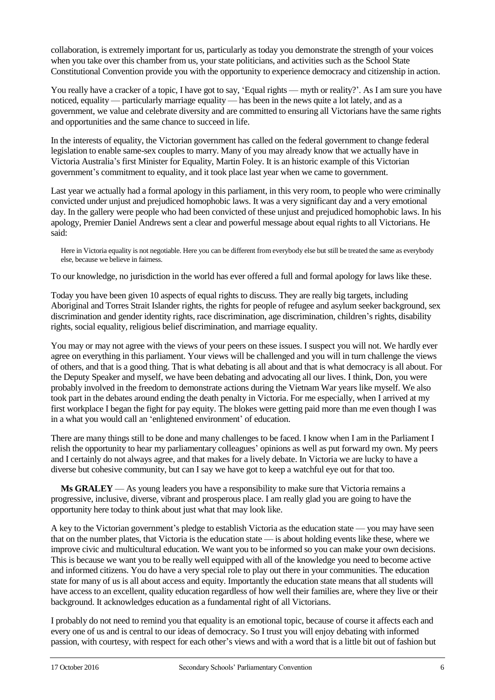collaboration, is extremely important for us, particularly as today you demonstrate the strength of your voices when you take over this chamber from us, your state politicians, and activities such as the School State Constitutional Convention provide you with the opportunity to experience democracy and citizenship in action.

You really have a cracker of a topic. I have got to say, 'Equal rights — myth or reality?'. As I am sure you have noticed, equality — particularly marriage equality — has been in the news quite a lot lately, and as a government, we value and celebrate diversity and are committed to ensuring all Victorians have the same rights and opportunities and the same chance to succeed in life.

In the interests of equality, the Victorian government has called on the federal government to change federal legislation to enable same-sex couples to marry. Many of you may already know that we actually have in Victoria Australia's first Minister for Equality, Martin Foley. It is an historic example of this Victorian government's commitment to equality, and it took place last year when we came to government.

Last year we actually had a formal apology in this parliament, in this very room, to people who were criminally convicted under unjust and prejudiced homophobic laws. It was a very significant day and a very emotional day. In the gallery were people who had been convicted of these unjust and prejudiced homophobic laws. In his apology, Premier Daniel Andrews sent a clear and powerful message about equal rights to all Victorians. He said:

Here in Victoria equality is not negotiable. Here you can be different from everybody else but still be treated the same as everybody else, because we believe in fairness.

To our knowledge, no jurisdiction in the world has ever offered a full and formal apology for laws like these.

Today you have been given 10 aspects of equal rights to discuss. They are really big targets, including Aboriginal and Torres Strait Islander rights, the rights for people of refugee and asylum seeker background, sex discrimination and gender identity rights, race discrimination, age discrimination, children's rights, disability rights, social equality, religious belief discrimination, and marriage equality.

You may or may not agree with the views of your peers on these issues. I suspect you will not. We hardly ever agree on everything in this parliament. Your views will be challenged and you will in turn challenge the views of others, and that is a good thing. That is what debating is all about and that is what democracy is all about. For the Deputy Speaker and myself, we have been debating and advocating all our lives. I think, Don, you were probably involved in the freedom to demonstrate actions during the Vietnam War years like myself. We also took part in the debates around ending the death penalty in Victoria. For me especially, when I arrived at my first workplace I began the fight for pay equity. The blokes were getting paid more than me even though I was in a what you would call an 'enlightened environment' of education.

There are many things still to be done and many challenges to be faced. I know when I am in the Parliament I relish the opportunity to hear my parliamentary colleagues' opinions as well as put forward my own. My peers and I certainly do not always agree, and that makes for a lively debate. In Victoria we are lucky to have a diverse but cohesive community, but can I say we have got to keep a watchful eye out for that too.

**Ms GRALEY** — As young leaders you have a responsibility to make sure that Victoria remains a progressive, inclusive, diverse, vibrant and prosperous place. I am really glad you are going to have the opportunity here today to think about just what that may look like.

A key to the Victorian government's pledge to establish Victoria as the education state — you may have seen that on the number plates, that Victoria is the education state — is about holding events like these, where we improve civic and multicultural education. We want you to be informed so you can make your own decisions. This is because we want you to be really well equipped with all of the knowledge you need to become active and informed citizens. You do have a very special role to play out there in your communities. The education state for many of us is all about access and equity. Importantly the education state means that all students will have access to an excellent, quality education regardless of how well their families are, where they live or their background. It acknowledges education as a fundamental right of all Victorians.

I probably do not need to remind you that equality is an emotional topic, because of course it affects each and every one of us and is central to our ideas of democracy. So I trust you will enjoy debating with informed passion, with courtesy, with respect for each other's views and with a word that is a little bit out of fashion but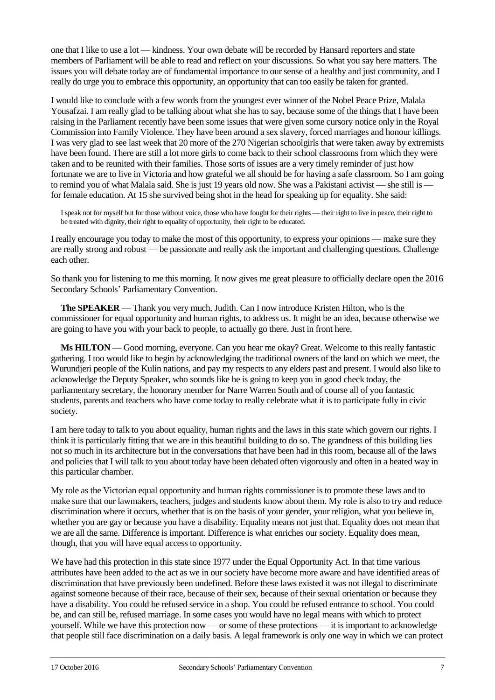one that I like to use a lot — kindness. Your own debate will be recorded by Hansard reporters and state members of Parliament will be able to read and reflect on your discussions. So what you say here matters. The issues you will debate today are of fundamental importance to our sense of a healthy and just community, and I really do urge you to embrace this opportunity, an opportunity that can too easily be taken for granted.

I would like to conclude with a few words from the youngest ever winner of the Nobel Peace Prize, Malala Yousafzai. I am really glad to be talking about what she has to say, because some of the things that I have been raising in the Parliament recently have been some issues that were given some cursory notice only in the Royal Commission into Family Violence. They have been around a sex slavery, forced marriages and honour killings. I was very glad to see last week that 20 more of the 270 Nigerian schoolgirls that were taken away by extremists have been found. There are still a lot more girls to come back to their school classrooms from which they were taken and to be reunited with their families. Those sorts of issues are a very timely reminder of just how fortunate we are to live in Victoria and how grateful we all should be for having a safe classroom. So I am going to remind you of what Malala said. She is just 19 years old now. She was a Pakistani activist — she still is for female education. At 15 she survived being shot in the head for speaking up for equality. She said:

I speak not for myself but for those without voice, those who have fought for their rights — their right to live in peace, their right to be treated with dignity, their right to equality of opportunity, their right to be educated.

I really encourage you today to make the most of this opportunity, to express your opinions — make sure they are really strong and robust — be passionate and really ask the important and challenging questions. Challenge each other.

So thank you for listening to me this morning. It now gives me great pleasure to officially declare open the 2016 Secondary Schools' Parliamentary Convention.

**The SPEAKER** — Thank you very much, Judith. Can I now introduce Kristen Hilton, who is the commissioner for equal opportunity and human rights, to address us. It might be an idea, because otherwise we are going to have you with your back to people, to actually go there. Just in front here.

**Ms HILTON** — Good morning, everyone. Can you hear me okay? Great. Welcome to this really fantastic gathering. I too would like to begin by acknowledging the traditional owners of the land on which we meet, the Wurundjeri people of the Kulin nations, and pay my respects to any elders past and present. I would also like to acknowledge the Deputy Speaker, who sounds like he is going to keep you in good check today, the parliamentary secretary, the honorary member for Narre Warren South and of course all of you fantastic students, parents and teachers who have come today to really celebrate what it is to participate fully in civic society.

I am here today to talk to you about equality, human rights and the laws in this state which govern our rights. I think it is particularly fitting that we are in this beautiful building to do so. The grandness of this building lies not so much in its architecture but in the conversations that have been had in this room, because all of the laws and policies that I will talk to you about today have been debated often vigorously and often in a heated way in this particular chamber.

My role as the Victorian equal opportunity and human rights commissioner is to promote these laws and to make sure that our lawmakers, teachers, judges and students know about them. My role is also to try and reduce discrimination where it occurs, whether that is on the basis of your gender, your religion, what you believe in, whether you are gay or because you have a disability. Equality means not just that. Equality does not mean that we are all the same. Difference is important. Difference is what enriches our society. Equality does mean, though, that you will have equal access to opportunity.

We have had this protection in this state since 1977 under the Equal Opportunity Act. In that time various attributes have been added to the act as we in our society have become more aware and have identified areas of discrimination that have previously been undefined. Before these laws existed it was not illegal to discriminate against someone because of their race, because of their sex, because of their sexual orientation or because they have a disability. You could be refused service in a shop. You could be refused entrance to school. You could be, and can still be, refused marriage. In some cases you would have no legal means with which to protect yourself. While we have this protection now — or some of these protections — it is important to acknowledge that people still face discrimination on a daily basis. A legal framework is only one way in which we can protect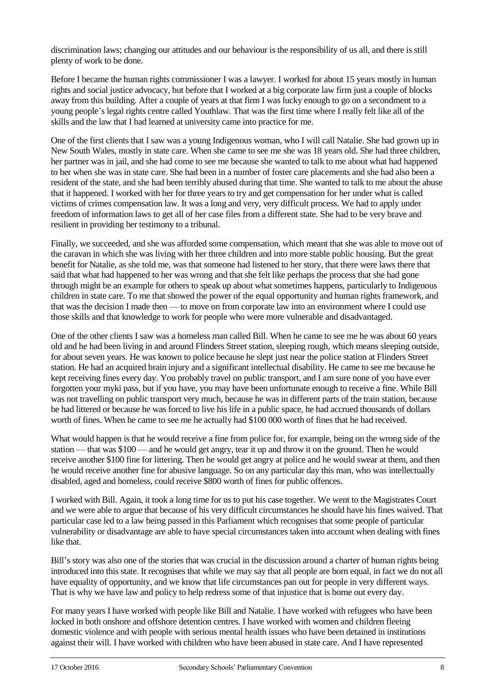discrimination laws; changing our attitudes and our behaviour is the responsibility of us all, and there is still plenty of work to be done.

Before I became the human rights commissioner I was a lawyer. I worked for about 15 years mostly in human rights and social justice advocacy, but before that I worked at a big corporate law firm just a couple of blocks away from this building. After a couple of years at that firm I was lucky enough to go on a secondment to a young people's legal rights centre called Youthlaw. That was the first time where I really felt like all of the skills and the law that I had learned at university came into practice for me.

One of the first clients that I saw was a young Indigenous woman, who I will call Natalie. She had grown up in New South Wales, mostly in state care. When she came to see me she was 18 years old. She had three children, her partner was in jail, and she had come to see me because she wanted to talk to me about what had happened to her when she was in state care. She had been in a number of foster care placements and she had also been a resident of the state, and she had been terribly abused during that time. She wanted to talk to me about the abuse that it happened. I worked with her for three years to try and get compensation for her under what is called victims of crimes compensation law. It was a long and very, very difficult process. We had to apply under freedom of information laws to get all of her case files from a different state. She had to be very brave and resilient in providing her testimony to a tribunal.

Finally, we succeeded, and she was afforded some compensation, which meant that she was able to move out of the caravan in which she was living with her three children and into more stable public housing. But the great benefit for Natalie, as she told me, was that someone had listened to her story, that there were laws there that said that what had happened to her was wrong and that she felt like perhaps the process that she had gone through might be an example for others to speak up about what sometimes happens, particularly to Indigenous children in state care. To me that showed the power of the equal opportunity and human rights framework, and that was the decision I made then — to move on from corporate law into an environment where I could use those skills and that knowledge to work for people who were more vulnerable and disadvantaged.

One of the other clients I saw was a homeless man called Bill. When he came to see me he was about 60 years old and he had been living in and around Flinders Street station, sleeping rough, which means sleeping outside, for about seven years. He was known to police because he slept just near the police station at Flinders Street station. He had an acquired brain injury and a significant intellectual disability. He came to see me because he kept receiving fines every day. You probably travel on public transport, and I am sure none of you have ever forgotten your myki pass, but if you have, you may have been unfortunate enough to receive a fine. While Bill was not travelling on public transport very much, because he was in different parts of the train station, because he had littered or because he was forced to live his life in a public space, he had accrued thousands of dollars worth of fines. When he came to see me he actually had \$100 000 worth of fines that he had received.

What would happen is that he would receive a fine from police for, for example, being on the wrong side of the station — that was \$100 — and he would get angry, tear it up and throw it on the ground. Then he would receive another \$100 fine for littering. Then he would get angry at police and he would swear at them, and then he would receive another fine for abusive language. So on any particular day this man, who was intellectually disabled, aged and homeless, could receive \$800 worth of fines for public offences.

I worked with Bill. Again, it took a long time for us to put his case together. We went to the Magistrates Court and we were able to argue that because of his very difficult circumstances he should have his fines waived. That particular case led to a law being passed in this Parliament which recognises that some people of particular vulnerability or disadvantage are able to have special circumstances taken into account when dealing with fines like that.

Bill's story was also one of the stories that was crucial in the discussion around a charter of human rights being introduced into this state. It recognises that while we may say that all people are born equal, in fact we do not all have equality of opportunity, and we know that life circumstances pan out for people in very different ways. That is why we have law and policy to help redress some of that injustice that is borne out every day.

For many years I have worked with people like Bill and Natalie. I have worked with refugees who have been locked in both onshore and offshore detention centres. I have worked with women and children fleeing domestic violence and with people with serious mental health issues who have been detained in institutions against their will. I have worked with children who have been abused in state care. And I have represented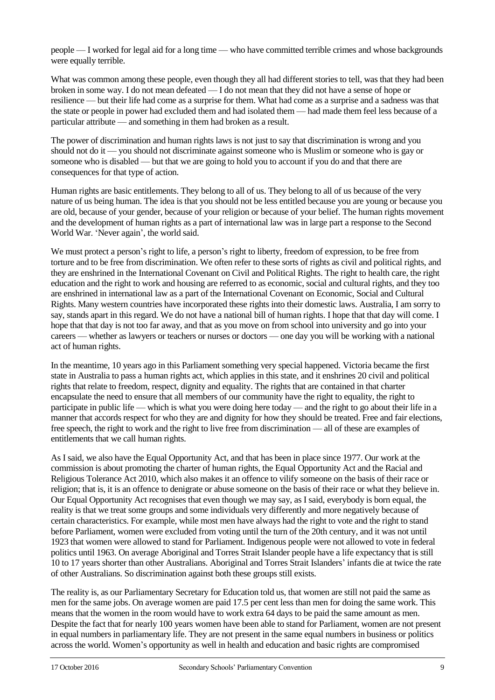people — I worked for legal aid for a long time — who have committed terrible crimes and whose backgrounds were equally terrible.

What was common among these people, even though they all had different stories to tell, was that they had been broken in some way. I do not mean defeated — I do not mean that they did not have a sense of hope or resilience — but their life had come as a surprise for them. What had come as a surprise and a sadness was that the state or people in power had excluded them and had isolated them — had made them feel less because of a particular attribute — and something in them had broken as a result.

The power of discrimination and human rights laws is not just to say that discrimination is wrong and you should not do it — you should not discriminate against someone who is Muslim or someone who is gay or someone who is disabled — but that we are going to hold you to account if you do and that there are consequences for that type of action.

Human rights are basic entitlements. They belong to all of us. They belong to all of us because of the very nature of us being human. The idea is that you should not be less entitled because you are young or because you are old, because of your gender, because of your religion or because of your belief. The human rights movement and the development of human rights as a part of international law was in large part a response to the Second World War. 'Never again', the world said.

We must protect a person's right to life, a person's right to liberty, freedom of expression, to be free from torture and to be free from discrimination. We often refer to these sorts of rights as civil and political rights, and they are enshrined in the International Covenant on Civil and Political Rights. The right to health care, the right education and the right to work and housing are referred to as economic, social and cultural rights, and they too are enshrined in international law as a part of the International Covenant on Economic, Social and Cultural Rights. Many western countries have incorporated these rights into their domestic laws. Australia, I am sorry to say, stands apart in this regard. We do not have a national bill of human rights. I hope that that day will come. I hope that that day is not too far away, and that as you move on from school into university and go into your careers — whether as lawyers or teachers or nurses or doctors — one day you will be working with a national act of human rights.

In the meantime, 10 years ago in this Parliament something very special happened. Victoria became the first state in Australia to pass a human rights act, which applies in this state, and it enshrines 20 civil and political rights that relate to freedom, respect, dignity and equality. The rights that are contained in that charter encapsulate the need to ensure that all members of our community have the right to equality, the right to participate in public life — which is what you were doing here today — and the right to go about their life in a manner that accords respect for who they are and dignity for how they should be treated. Free and fair elections, free speech, the right to work and the right to live free from discrimination — all of these are examples of entitlements that we call human rights.

As I said, we also have the Equal Opportunity Act, and that has been in place since 1977. Our work at the commission is about promoting the charter of human rights, the Equal Opportunity Act and the Racial and Religious Tolerance Act 2010, which also makes it an offence to vilify someone on the basis of their race or religion; that is, it is an offence to denigrate or abuse someone on the basis of their race or what they believe in. Our Equal Opportunity Act recognises that even though we may say, as I said, everybody is born equal, the reality is that we treat some groups and some individuals very differently and more negatively because of certain characteristics. For example, while most men have always had the right to vote and the right to stand before Parliament, women were excluded from voting until the turn of the 20th century, and it was not until 1923 that women were allowed to stand for Parliament. Indigenous people were not allowed to vote in federal politics until 1963. On average Aboriginal and Torres Strait Islander people have a life expectancy that is still 10 to 17 years shorter than other Australians. Aboriginal and Torres Strait Islanders' infants die at twice the rate of other Australians. So discrimination against both these groups still exists.

The reality is, as our Parliamentary Secretary for Education told us, that women are still not paid the same as men for the same jobs. On average women are paid 17.5 per cent less than men for doing the same work. This means that the women in the room would have to work extra 64 days to be paid the same amount as men. Despite the fact that for nearly 100 years women have been able to stand for Parliament, women are not present in equal numbers in parliamentary life. They are not present in the same equal numbers in business or politics across the world. Women's opportunity as well in health and education and basic rights are compromised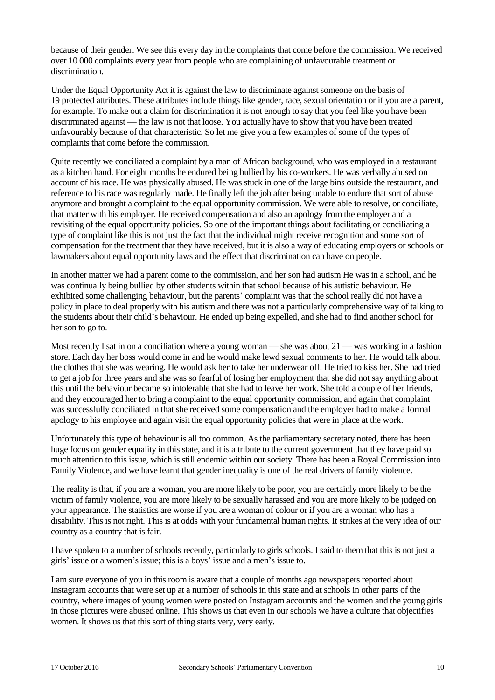because of their gender. We see this every day in the complaints that come before the commission. We received over 10 000 complaints every year from people who are complaining of unfavourable treatment or discrimination.

Under the Equal Opportunity Act it is against the law to discriminate against someone on the basis of 19 protected attributes. These attributes include things like gender, race, sexual orientation or if you are a parent, for example. To make out a claim for discrimination it is not enough to say that you feel like you have been discriminated against — the law is not that loose. You actually have to show that you have been treated unfavourably because of that characteristic. So let me give you a few examples of some of the types of complaints that come before the commission.

Quite recently we conciliated a complaint by a man of African background, who was employed in a restaurant as a kitchen hand. For eight months he endured being bullied by his co-workers. He was verbally abused on account of his race. He was physically abused. He was stuck in one of the large bins outside the restaurant, and reference to his race was regularly made. He finally left the job after being unable to endure that sort of abuse anymore and brought a complaint to the equal opportunity commission. We were able to resolve, or conciliate, that matter with his employer. He received compensation and also an apology from the employer and a revisiting of the equal opportunity policies. So one of the important things about facilitating or conciliating a type of complaint like this is not just the fact that the individual might receive recognition and some sort of compensation for the treatment that they have received, but it is also a way of educating employers or schools or lawmakers about equal opportunity laws and the effect that discrimination can have on people.

In another matter we had a parent come to the commission, and her son had autism He was in a school, and he was continually being bullied by other students within that school because of his autistic behaviour. He exhibited some challenging behaviour, but the parents' complaint was that the school really did not have a policy in place to deal properly with his autism and there was not a particularly comprehensive way of talking to the students about their child's behaviour. He ended up being expelled, and she had to find another school for her son to go to.

Most recently I sat in on a conciliation where a young woman — she was about 21 — was working in a fashion store. Each day her boss would come in and he would make lewd sexual comments to her. He would talk about the clothes that she was wearing. He would ask her to take her underwear off. He tried to kiss her. She had tried to get a job for three years and she was so fearful of losing her employment that she did not say anything about this until the behaviour became so intolerable that she had to leave her work. She told a couple of her friends, and they encouraged her to bring a complaint to the equal opportunity commission, and again that complaint was successfully conciliated in that she received some compensation and the employer had to make a formal apology to his employee and again visit the equal opportunity policies that were in place at the work.

Unfortunately this type of behaviour is all too common. As the parliamentary secretary noted, there has been huge focus on gender equality in this state, and it is a tribute to the current government that they have paid so much attention to this issue, which is still endemic within our society. There has been a Royal Commission into Family Violence, and we have learnt that gender inequality is one of the real drivers of family violence.

The reality is that, if you are a woman, you are more likely to be poor, you are certainly more likely to be the victim of family violence, you are more likely to be sexually harassed and you are more likely to be judged on your appearance. The statistics are worse if you are a woman of colour or if you are a woman who has a disability. This is not right. This is at odds with your fundamental human rights. It strikes at the very idea of our country as a country that is fair.

I have spoken to a number of schools recently, particularly to girls schools. I said to them that this is not just a girls' issue or a women's issue; this is a boys' issue and a men's issue to.

I am sure everyone of you in this room is aware that a couple of months ago newspapers reported about Instagram accounts that were set up at a number of schools in this state and at schools in other parts of the country, where images of young women were posted on Instagram accounts and the women and the young girls in those pictures were abused online. This shows us that even in our schools we have a culture that objectifies women. It shows us that this sort of thing starts very, very early.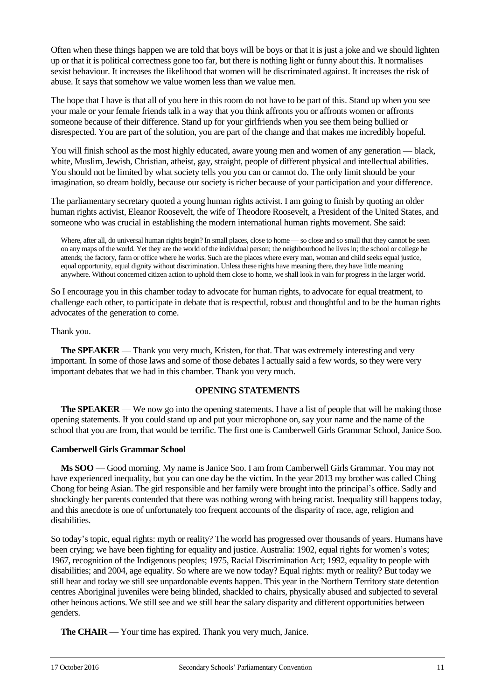Often when these things happen we are told that boys will be boys or that it is just a joke and we should lighten up or that it is political correctness gone too far, but there is nothing light or funny about this. It normalises sexist behaviour. It increases the likelihood that women will be discriminated against. It increases the risk of abuse. It says that somehow we value women less than we value men.

The hope that I have is that all of you here in this room do not have to be part of this. Stand up when you see your male or your female friends talk in a way that you think affronts you or affronts women or affronts someone because of their difference. Stand up for your girlfriends when you see them being bullied or disrespected. You are part of the solution, you are part of the change and that makes me incredibly hopeful.

You will finish school as the most highly educated, aware young men and women of any generation — black, white, Muslim, Jewish, Christian, atheist, gay, straight, people of different physical and intellectual abilities. You should not be limited by what society tells you you can or cannot do. The only limit should be your imagination, so dream boldly, because our society is richer because of your participation and your difference.

The parliamentary secretary quoted a young human rights activist. I am going to finish by quoting an older human rights activist, Eleanor Roosevelt, the wife of Theodore Roosevelt, a President of the United States, and someone who was crucial in establishing the modern international human rights movement. She said:

Where, after all, do universal human rights begin? In small places, close to home — so close and so small that they cannot be seen on any maps of the world. Yet they are the world of the individual person; the neighbourhood he lives in; the school or college he attends; the factory, farm or office where he works. Such are the places where every man, woman and child seeks equal justice, equal opportunity, equal dignity without discrimination. Unless these rights have meaning there, they have little meaning anywhere. Without concerned citizen action to uphold them close to home, we shall look in vain for progress in the larger world.

So I encourage you in this chamber today to advocate for human rights, to advocate for equal treatment, to challenge each other, to participate in debate that is respectful, robust and thoughtful and to be the human rights advocates of the generation to come.

Thank you.

**The SPEAKER** — Thank you very much, Kristen, for that. That was extremely interesting and very important. In some of those laws and some of those debates I actually said a few words, so they were very important debates that we had in this chamber. Thank you very much.

# **OPENING STATEMENTS**

**The SPEAKER** — We now go into the opening statements. I have a list of people that will be making those opening statements. If you could stand up and put your microphone on, say your name and the name of the school that you are from, that would be terrific. The first one is Camberwell Girls Grammar School, Janice Soo.

# **Camberwell Girls Grammar School**

**Ms SOO** — Good morning. My name is Janice Soo. I am from Camberwell Girls Grammar. You may not have experienced inequality, but you can one day be the victim. In the year 2013 my brother was called Ching Chong for being Asian. The girl responsible and her family were brought into the principal's office. Sadly and shockingly her parents contended that there was nothing wrong with being racist. Inequality still happens today, and this anecdote is one of unfortunately too frequent accounts of the disparity of race, age, religion and disabilities.

So today's topic, equal rights: myth or reality? The world has progressed over thousands of years. Humans have been crying; we have been fighting for equality and justice. Australia: 1902, equal rights for women's votes; 1967, recognition of the Indigenous peoples; 1975, Racial Discrimination Act; 1992, equality to people with disabilities; and 2004, age equality. So where are we now today? Equal rights: myth or reality? But today we still hear and today we still see unpardonable events happen. This year in the Northern Territory state detention centres Aboriginal juveniles were being blinded, shackled to chairs, physically abused and subjected to several other heinous actions. We still see and we still hear the salary disparity and different opportunities between genders.

**The CHAIR** — Your time has expired. Thank you very much, Janice.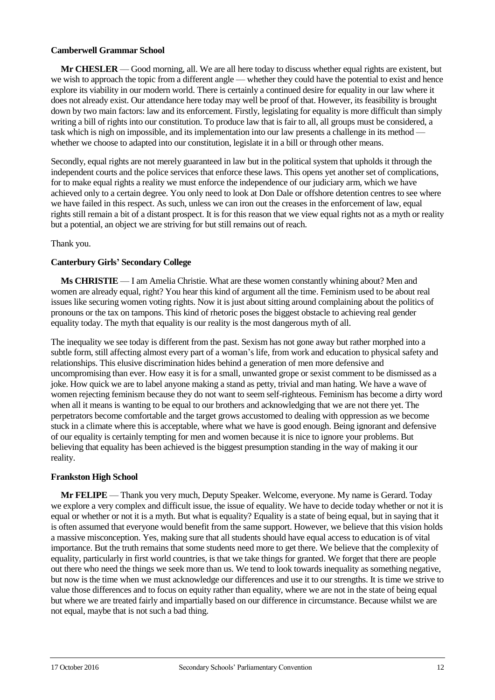## **Camberwell Grammar School**

**Mr CHESLER** — Good morning, all. We are all here today to discuss whether equal rights are existent, but we wish to approach the topic from a different angle — whether they could have the potential to exist and hence explore its viability in our modern world. There is certainly a continued desire for equality in our law where it does not already exist. Our attendance here today may well be proof of that. However, its feasibility is brought down by two main factors: law and its enforcement. Firstly, legislating for equality is more difficult than simply writing a bill of rights into our constitution. To produce law that is fair to all, all groups must be considered, a task which is nigh on impossible, and its implementation into our law presents a challenge in its method whether we choose to adapted into our constitution, legislate it in a bill or through other means.

Secondly, equal rights are not merely guaranteed in law but in the political system that upholds it through the independent courts and the police services that enforce these laws. This opens yet another set of complications, for to make equal rights a reality we must enforce the independence of our judiciary arm, which we have achieved only to a certain degree. You only need to look at Don Dale or offshore detention centres to see where we have failed in this respect. As such, unless we can iron out the creases in the enforcement of law, equal rights still remain a bit of a distant prospect. It is for this reason that we view equal rights not as a myth or reality but a potential, an object we are striving for but still remains out of reach.

## Thank you.

## **Canterbury Girls' Secondary College**

**Ms CHRISTIE** — I am Amelia Christie. What are these women constantly whining about? Men and women are already equal, right? You hear this kind of argument all the time. Feminism used to be about real issues like securing women voting rights. Now it is just about sitting around complaining about the politics of pronouns or the tax on tampons. This kind of rhetoric poses the biggest obstacle to achieving real gender equality today. The myth that equality is our reality is the most dangerous myth of all.

The inequality we see today is different from the past. Sexism has not gone away but rather morphed into a subtle form, still affecting almost every part of a woman's life, from work and education to physical safety and relationships. This elusive discrimination hides behind a generation of men more defensive and uncompromising than ever. How easy it is for a small, unwanted grope or sexist comment to be dismissed as a joke. How quick we are to label anyone making a stand as petty, trivial and man hating. We have a wave of women rejecting feminism because they do not want to seem self-righteous. Feminism has become a dirty word when all it means is wanting to be equal to our brothers and acknowledging that we are not there yet. The perpetrators become comfortable and the target grows accustomed to dealing with oppression as we become stuck in a climate where this is acceptable, where what we have is good enough. Being ignorant and defensive of our equality is certainly tempting for men and women because it is nice to ignore your problems. But believing that equality has been achieved is the biggest presumption standing in the way of making it our reality.

#### **Frankston High School**

**Mr FELIPE** — Thank you very much, Deputy Speaker. Welcome, everyone. My name is Gerard. Today we explore a very complex and difficult issue, the issue of equality. We have to decide today whether or not it is equal or whether or not it is a myth. But what is equality? Equality is a state of being equal, but in saying that it is often assumed that everyone would benefit from the same support. However, we believe that this vision holds a massive misconception. Yes, making sure that all students should have equal access to education is of vital importance. But the truth remains that some students need more to get there. We believe that the complexity of equality, particularly in first world countries, is that we take things for granted. We forget that there are people out there who need the things we seek more than us. We tend to look towards inequality as something negative, but now is the time when we must acknowledge our differences and use it to our strengths. It is time we strive to value those differences and to focus on equity rather than equality, where we are not in the state of being equal but where we are treated fairly and impartially based on our difference in circumstance. Because whilst we are not equal, maybe that is not such a bad thing.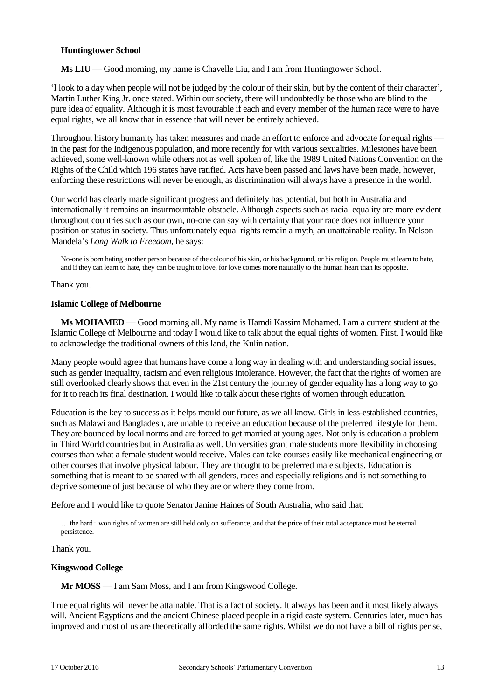## **Huntingtower School**

**Ms LIU** — Good morning, my name is Chavelle Liu, and I am from Huntingtower School.

'I look to a day when people will not be judged by the colour of their skin, but by the content of their character', Martin Luther King Jr. once stated. Within our society, there will undoubtedly be those who are blind to the pure idea of equality. Although it is most favourable if each and every member of the human race were to have equal rights, we all know that in essence that will never be entirely achieved.

Throughout history humanity has taken measures and made an effort to enforce and advocate for equal rights in the past for the Indigenous population, and more recently for with various sexualities. Milestones have been achieved, some well-known while others not as well spoken of, like the 1989 United Nations Convention on the Rights of the Child which 196 states have ratified. Acts have been passed and laws have been made, however, enforcing these restrictions will never be enough, as discrimination will always have a presence in the world.

Our world has clearly made significant progress and definitely has potential, but both in Australia and internationally it remains an insurmountable obstacle. Although aspects such as racial equality are more evident throughout countries such as our own, no-one can say with certainty that your race does not influence your position or status in society. Thus unfortunately equal rights remain a myth, an unattainable reality. In Nelson Mandela's *Long Walk to Freedom*, he says:

No-one is born hating another person because of the colour of his skin, or his background, or his religion. People must learn to hate, and if they can learn to hate, they can be taught to love, for love comes more naturally to the human heart than its opposite.

#### Thank you.

## **Islamic College of Melbourne**

**Ms MOHAMED** — Good morning all. My name is Hamdi Kassim Mohamed. I am a current student at the Islamic College of Melbourne and today I would like to talk about the equal rights of women. First, I would like to acknowledge the traditional owners of this land, the Kulin nation.

Many people would agree that humans have come a long way in dealing with and understanding social issues, such as gender inequality, racism and even religious intolerance. However, the fact that the rights of women are still overlooked clearly shows that even in the 21st century the journey of gender equality has a long way to go for it to reach its final destination. I would like to talk about these rights of women through education.

Education is the key to success as it helps mould our future, as we all know. Girls in less-established countries, such as Malawi and Bangladesh, are unable to receive an education because of the preferred lifestyle for them. They are bounded by local norms and are forced to get married at young ages. Not only is education a problem in Third World countries but in Australia as well. Universities grant male students more flexibility in choosing courses than what a female student would receive. Males can take courses easily like mechanical engineering or other courses that involve physical labour. They are thought to be preferred male subjects. Education is something that is meant to be shared with all genders, races and especially religions and is not something to deprive someone of just because of who they are or where they come from.

Before and I would like to quote Senator Janine Haines of South Australia, who said that:

… the hard‑ won rights of women are still held only on sufferance, and that the price of their total acceptance must be eternal persistence.

#### Thank you.

## **Kingswood College**

**Mr MOSS** — I am Sam Moss, and I am from Kingswood College.

True equal rights will never be attainable. That is a fact of society. It always has been and it most likely always will. Ancient Egyptians and the ancient Chinese placed people in a rigid caste system. Centuries later, much has improved and most of us are theoretically afforded the same rights. Whilst we do not have a bill of rights per se,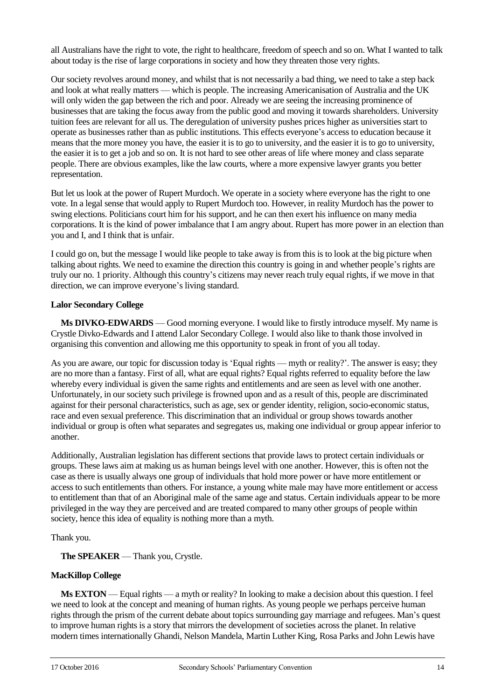all Australians have the right to vote, the right to healthcare, freedom of speech and so on. What I wanted to talk about today is the rise of large corporations in society and how they threaten those very rights.

Our society revolves around money, and whilst that is not necessarily a bad thing, we need to take a step back and look at what really matters — which is people. The increasing Americanisation of Australia and the UK will only widen the gap between the rich and poor. Already we are seeing the increasing prominence of businesses that are taking the focus away from the public good and moving it towards shareholders. University tuition fees are relevant for all us. The deregulation of university pushes prices higher as universities start to operate as businesses rather than as public institutions. This effects everyone's access to education because it means that the more money you have, the easier it is to go to university, and the easier it is to go to university, the easier it is to get a job and so on. It is not hard to see other areas of life where money and class separate people. There are obvious examples, like the law courts, where a more expensive lawyer grants you better representation.

But let us look at the power of Rupert Murdoch. We operate in a society where everyone has the right to one vote. In a legal sense that would apply to Rupert Murdoch too. However, in reality Murdoch has the power to swing elections. Politicians court him for his support, and he can then exert his influence on many media corporations. It is the kind of power imbalance that I am angry about. Rupert has more power in an election than you and I, and I think that is unfair.

I could go on, but the message I would like people to take away is from this is to look at the big picture when talking about rights. We need to examine the direction this country is going in and whether people's rights are truly our no. 1 priority. Although this country's citizens may never reach truly equal rights, if we move in that direction, we can improve everyone's living standard.

#### **Lalor Secondary College**

**Ms DIVKO-EDWARDS** — Good morning everyone. I would like to firstly introduce myself. My name is Crystle Divko-Edwards and I attend Lalor Secondary College. I would also like to thank those involved in organising this convention and allowing me this opportunity to speak in front of you all today.

As you are aware, our topic for discussion today is 'Equal rights — myth or reality?'. The answer is easy; they are no more than a fantasy. First of all, what are equal rights? Equal rights referred to equality before the law whereby every individual is given the same rights and entitlements and are seen as level with one another. Unfortunately, in our society such privilege is frowned upon and as a result of this, people are discriminated against for their personal characteristics, such as age, sex or gender identity, religion, socio-economic status, race and even sexual preference. This discrimination that an individual or group shows towards another individual or group is often what separates and segregates us, making one individual or group appear inferior to another.

Additionally, Australian legislation has different sections that provide laws to protect certain individuals or groups. These laws aim at making us as human beings level with one another. However, this is often not the case as there is usually always one group of individuals that hold more power or have more entitlement or access to such entitlements than others. For instance, a young white male may have more entitlement or access to entitlement than that of an Aboriginal male of the same age and status. Certain individuals appear to be more privileged in the way they are perceived and are treated compared to many other groups of people within society, hence this idea of equality is nothing more than a myth.

Thank you.

**The SPEAKER** — Thank you, Crystle.

# **MacKillop College**

**Ms EXTON** — Equal rights — a myth or reality? In looking to make a decision about this question. I feel we need to look at the concept and meaning of human rights. As young people we perhaps perceive human rights through the prism of the current debate about topics surrounding gay marriage and refugees. Man's quest to improve human rights is a story that mirrors the development of societies across the planet. In relative modern times internationally Ghandi, Nelson Mandela, Martin Luther King, Rosa Parks and John Lewis have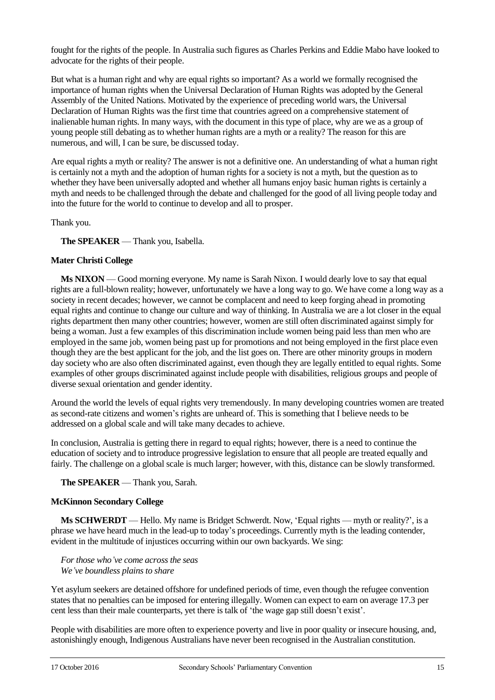fought for the rights of the people. In Australia such figures as Charles Perkins and Eddie Mabo have looked to advocate for the rights of their people.

But what is a human right and why are equal rights so important? As a world we formally recognised the importance of human rights when the Universal Declaration of Human Rights was adopted by the General Assembly of the United Nations. Motivated by the experience of preceding world wars, the Universal Declaration of Human Rights was the first time that countries agreed on a comprehensive statement of inalienable human rights. In many ways, with the document in this type of place, why are we as a group of young people still debating as to whether human rights are a myth or a reality? The reason for this are numerous, and will, I can be sure, be discussed today.

Are equal rights a myth or reality? The answer is not a definitive one. An understanding of what a human right is certainly not a myth and the adoption of human rights for a society is not a myth, but the question as to whether they have been universally adopted and whether all humans enjoy basic human rights is certainly a myth and needs to be challenged through the debate and challenged for the good of all living people today and into the future for the world to continue to develop and all to prosper.

Thank you.

**The SPEAKER** — Thank you, Isabella.

## **Mater Christi College**

**Ms NIXON** — Good morning everyone. My name is Sarah Nixon. I would dearly love to say that equal rights are a full-blown reality; however, unfortunately we have a long way to go. We have come a long way as a society in recent decades; however, we cannot be complacent and need to keep forging ahead in promoting equal rights and continue to change our culture and way of thinking. In Australia we are a lot closer in the equal rights department then many other countries; however, women are still often discriminated against simply for being a woman. Just a few examples of this discrimination include women being paid less than men who are employed in the same job, women being past up for promotions and not being employed in the first place even though they are the best applicant for the job, and the list goes on. There are other minority groups in modern day society who are also often discriminated against, even though they are legally entitled to equal rights. Some examples of other groups discriminated against include people with disabilities, religious groups and people of diverse sexual orientation and gender identity.

Around the world the levels of equal rights very tremendously. In many developing countries women are treated as second-rate citizens and women's rights are unheard of. This is something that I believe needs to be addressed on a global scale and will take many decades to achieve.

In conclusion, Australia is getting there in regard to equal rights; however, there is a need to continue the education of society and to introduce progressive legislation to ensure that all people are treated equally and fairly. The challenge on a global scale is much larger; however, with this, distance can be slowly transformed.

#### **The SPEAKER** — Thank you, Sarah.

#### **McKinnon Secondary College**

**Ms SCHWERDT** — Hello. My name is Bridget Schwerdt. Now, 'Equal rights — myth or reality?', is a phrase we have heard much in the lead-up to today's proceedings. Currently myth is the leading contender, evident in the multitude of injustices occurring within our own backyards. We sing:

*For those who've come across the seas We've boundless plains to share*

Yet asylum seekers are detained offshore for undefined periods of time, even though the refugee convention states that no penalties can be imposed for entering illegally. Women can expect to earn on average 17.3 per cent less than their male counterparts, yet there is talk of 'the wage gap still doesn't exist'.

People with disabilities are more often to experience poverty and live in poor quality or insecure housing, and, astonishingly enough, Indigenous Australians have never been recognised in the Australian constitution.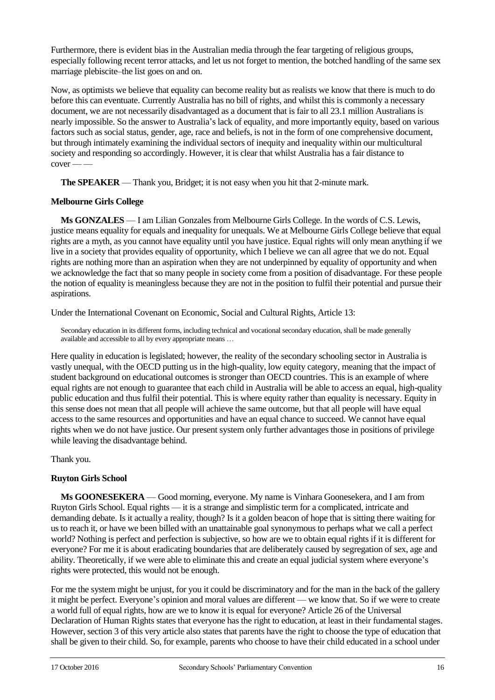Furthermore, there is evident bias in the Australian media through the fear targeting of religious groups, especially following recent terror attacks, and let us not forget to mention, the botched handling of the same sex marriage plebiscite–the list goes on and on.

Now, as optimists we believe that equality can become reality but as realists we know that there is much to do before this can eventuate. Currently Australia has no bill of rights, and whilst this is commonly a necessary document, we are not necessarily disadvantaged as a document that is fair to all 23.1 million Australians is nearly impossible. So the answer to Australia's lack of equality, and more importantly equity, based on various factors such as social status, gender, age, race and beliefs, is not in the form of one comprehensive document, but through intimately examining the individual sectors of inequity and inequality within our multicultural society and responding so accordingly. However, it is clear that whilst Australia has a fair distance to cover — —

**The SPEAKER** — Thank you, Bridget; it is not easy when you hit that 2-minute mark.

## **Melbourne Girls College**

**Ms GONZALES** — I am Lilian Gonzales from Melbourne Girls College. In the words of C.S. Lewis, justice means equality for equals and inequality for unequals. We at Melbourne Girls College believe that equal rights are a myth, as you cannot have equality until you have justice. Equal rights will only mean anything if we live in a society that provides equality of opportunity, which I believe we can all agree that we do not. Equal rights are nothing more than an aspiration when they are not underpinned by equality of opportunity and when we acknowledge the fact that so many people in society come from a position of disadvantage. For these people the notion of equality is meaningless because they are not in the position to fulfil their potential and pursue their aspirations.

Under the International Covenant on Economic, Social and Cultural Rights, Article 13:

Secondary education in its different forms, including technical and vocational secondary education, shall be made generally available and accessible to all by every appropriate means …

Here quality in education is legislated; however, the reality of the secondary schooling sector in Australia is vastly unequal, with the OECD putting us in the high-quality, low equity category, meaning that the impact of student background on educational outcomes is stronger than OECD countries. This is an example of where equal rights are not enough to guarantee that each child in Australia will be able to access an equal, high-quality public education and thus fulfil their potential. This is where equity rather than equality is necessary. Equity in this sense does not mean that all people will achieve the same outcome, but that all people will have equal access to the same resources and opportunities and have an equal chance to succeed. We cannot have equal rights when we do not have justice. Our present system only further advantages those in positions of privilege while leaving the disadvantage behind.

Thank you.

# **Ruyton Girls School**

**Ms GOONESEKERA** — Good morning, everyone. My name is Vinhara Goonesekera, and I am from Ruyton Girls School. Equal rights — it is a strange and simplistic term for a complicated, intricate and demanding debate. Is it actually a reality, though? Is it a golden beacon of hope that is sitting there waiting for us to reach it, or have we been billed with an unattainable goal synonymous to perhaps what we call a perfect world? Nothing is perfect and perfection is subjective, so how are we to obtain equal rights if it is different for everyone? For me it is about eradicating boundaries that are deliberately caused by segregation of sex, age and ability. Theoretically, if we were able to eliminate this and create an equal judicial system where everyone's rights were protected, this would not be enough.

For me the system might be unjust, for you it could be discriminatory and for the man in the back of the gallery it might be perfect. Everyone's opinion and moral values are different — we know that. So if we were to create a world full of equal rights, how are we to know it is equal for everyone? Article 26 of the Universal Declaration of Human Rights states that everyone has the right to education, at least in their fundamental stages. However, section 3 of this very article also states that parents have the right to choose the type of education that shall be given to their child. So, for example, parents who choose to have their child educated in a school under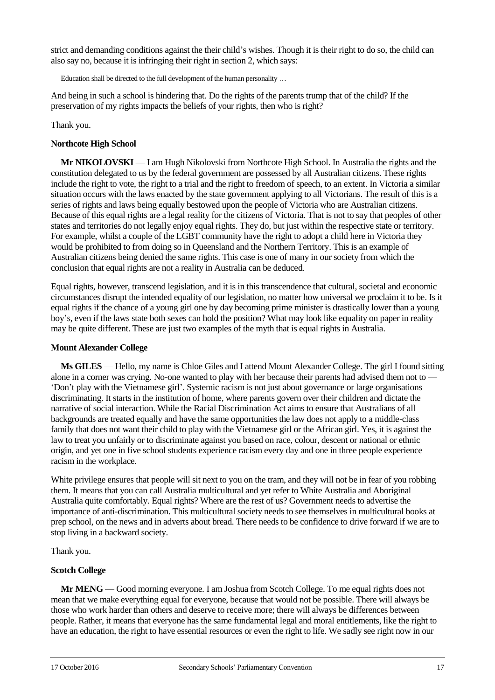strict and demanding conditions against the their child's wishes. Though it is their right to do so, the child can also say no, because it is infringing their right in section 2, which says:

Education shall be directed to the full development of the human personality …

And being in such a school is hindering that. Do the rights of the parents trump that of the child? If the preservation of my rights impacts the beliefs of your rights, then who is right?

Thank you.

#### **Northcote High School**

**Mr NIKOLOVSKI** — I am Hugh Nikolovski from Northcote High School. In Australia the rights and the constitution delegated to us by the federal government are possessed by all Australian citizens. These rights include the right to vote, the right to a trial and the right to freedom of speech, to an extent. In Victoria a similar situation occurs with the laws enacted by the state government applying to all Victorians. The result of this is a series of rights and laws being equally bestowed upon the people of Victoria who are Australian citizens. Because of this equal rights are a legal reality for the citizens of Victoria. That is not to say that peoples of other states and territories do not legally enjoy equal rights. They do, but just within the respective state or territory. For example, whilst a couple of the LGBT community have the right to adopt a child here in Victoria they would be prohibited to from doing so in Queensland and the Northern Territory. This is an example of Australian citizens being denied the same rights. This case is one of many in our society from which the conclusion that equal rights are not a reality in Australia can be deduced.

Equal rights, however, transcend legislation, and it is in this transcendence that cultural, societal and economic circumstances disrupt the intended equality of our legislation, no matter how universal we proclaim it to be. Is it equal rights if the chance of a young girl one by day becoming prime minister is drastically lower than a young boy's, even if the laws state both sexes can hold the position? What may look like equality on paper in reality may be quite different. These are just two examples of the myth that is equal rights in Australia.

#### **Mount Alexander College**

**Ms GILES** — Hello, my name is Chloe Giles and I attend Mount Alexander College. The girl I found sitting alone in a corner was crying. No-one wanted to play with her because their parents had advised them not to — 'Don't play with the Vietnamese girl'. Systemic racism is not just about governance or large organisations discriminating. It starts in the institution of home, where parents govern over their children and dictate the narrative of social interaction. While the Racial Discrimination Act aims to ensure that Australians of all backgrounds are treated equally and have the same opportunities the law does not apply to a middle-class family that does not want their child to play with the Vietnamese girl or the African girl. Yes, it is against the law to treat you unfairly or to discriminate against you based on race, colour, descent or national or ethnic origin, and yet one in five school students experience racism every day and one in three people experience racism in the workplace.

White privilege ensures that people will sit next to you on the tram, and they will not be in fear of you robbing them. It means that you can call Australia multicultural and yet refer to White Australia and Aboriginal Australia quite comfortably. Equal rights? Where are the rest of us? Government needs to advertise the importance of anti-discrimination. This multicultural society needs to see themselves in multicultural books at prep school, on the news and in adverts about bread. There needs to be confidence to drive forward if we are to stop living in a backward society.

#### Thank you.

#### **Scotch College**

**Mr MENG** — Good morning everyone. I am Joshua from Scotch College. To me equal rights does not mean that we make everything equal for everyone, because that would not be possible. There will always be those who work harder than others and deserve to receive more; there will always be differences between people. Rather, it means that everyone has the same fundamental legal and moral entitlements, like the right to have an education, the right to have essential resources or even the right to life. We sadly see right now in our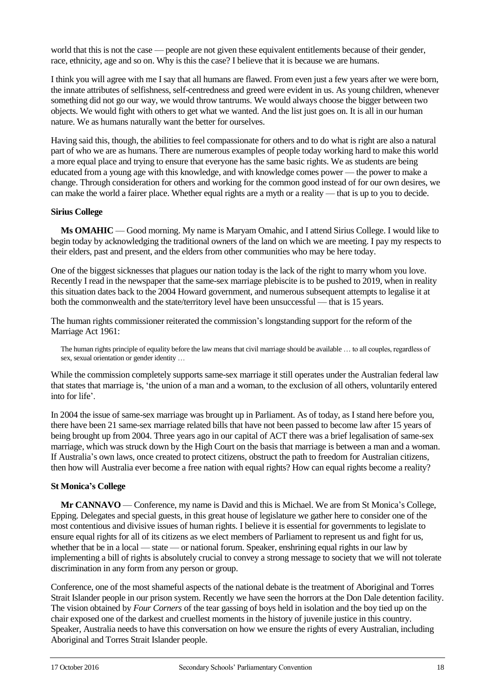world that this is not the case — people are not given these equivalent entitlements because of their gender, race, ethnicity, age and so on. Why is this the case? I believe that it is because we are humans.

I think you will agree with me I say that all humans are flawed. From even just a few years after we were born, the innate attributes of selfishness, self-centredness and greed were evident in us. As young children, whenever something did not go our way, we would throw tantrums. We would always choose the bigger between two objects. We would fight with others to get what we wanted. And the list just goes on. It is all in our human nature. We as humans naturally want the better for ourselves.

Having said this, though, the abilities to feel compassionate for others and to do what is right are also a natural part of who we are as humans. There are numerous examples of people today working hard to make this world a more equal place and trying to ensure that everyone has the same basic rights. We as students are being educated from a young age with this knowledge, and with knowledge comes power — the power to make a change. Through consideration for others and working for the common good instead of for our own desires, we can make the world a fairer place. Whether equal rights are a myth or a reality — that is up to you to decide.

## **Sirius College**

**Ms OMAHIC** — Good morning. My name is Maryam Omahic, and I attend Sirius College. I would like to begin today by acknowledging the traditional owners of the land on which we are meeting. I pay my respects to their elders, past and present, and the elders from other communities who may be here today.

One of the biggest sicknesses that plagues our nation today is the lack of the right to marry whom you love. Recently I read in the newspaper that the same-sex marriage plebiscite is to be pushed to 2019, when in reality this situation dates back to the 2004 Howard government, and numerous subsequent attempts to legalise it at both the commonwealth and the state/territory level have been unsuccessful — that is 15 years.

The human rights commissioner reiterated the commission's longstanding support for the reform of the Marriage Act 1961:

The human rights principle of equality before the law means that civil marriage should be available … to all couples, regardless of sex, sexual orientation or gender identity …

While the commission completely supports same-sex marriage it still operates under the Australian federal law that states that marriage is, 'the union of a man and a woman, to the exclusion of all others, voluntarily entered into for life'.

In 2004 the issue of same-sex marriage was brought up in Parliament. As of today, as I stand here before you, there have been 21 same-sex marriage related bills that have not been passed to become law after 15 years of being brought up from 2004. Three years ago in our capital of ACT there was a brief legalisation of same-sex marriage, which was struck down by the High Court on the basis that marriage is between a man and a woman. If Australia's own laws, once created to protect citizens, obstruct the path to freedom for Australian citizens, then how will Australia ever become a free nation with equal rights? How can equal rights become a reality?

# **St Monica's College**

**Mr CANNAVO** — Conference, my name is David and this is Michael. We are from St Monica's College, Epping. Delegates and special guests, in this great house of legislature we gather here to consider one of the most contentious and divisive issues of human rights. I believe it is essential for governments to legislate to ensure equal rights for all of its citizens as we elect members of Parliament to represent us and fight for us, whether that be in a local — state — or national forum. Speaker, enshrining equal rights in our law by implementing a bill of rights is absolutely crucial to convey a strong message to society that we will not tolerate discrimination in any form from any person or group.

Conference, one of the most shameful aspects of the national debate is the treatment of Aboriginal and Torres Strait Islander people in our prison system. Recently we have seen the horrors at the Don Dale detention facility. The vision obtained by *Four Corners* of the tear gassing of boys held in isolation and the boy tied up on the chair exposed one of the darkest and cruellest moments in the history of juvenile justice in this country. Speaker, Australia needs to have this conversation on how we ensure the rights of every Australian, including Aboriginal and Torres Strait Islander people.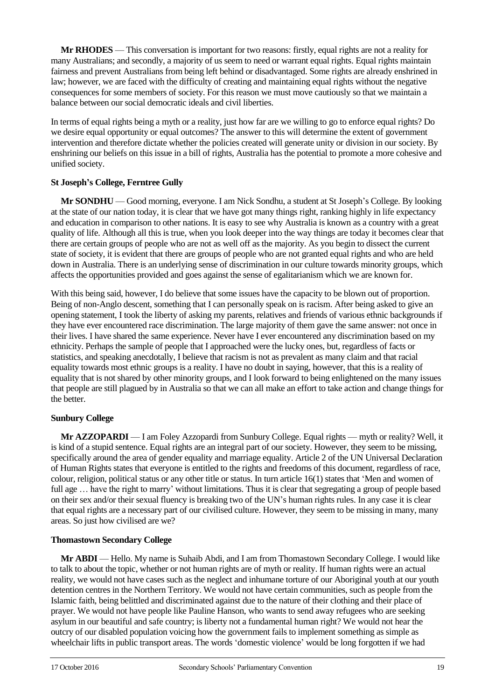**Mr RHODES** — This conversation is important for two reasons: firstly, equal rights are not a reality for many Australians; and secondly, a majority of us seem to need or warrant equal rights. Equal rights maintain fairness and prevent Australians from being left behind or disadvantaged. Some rights are already enshrined in law; however, we are faced with the difficulty of creating and maintaining equal rights without the negative consequences for some members of society. For this reason we must move cautiously so that we maintain a balance between our social democratic ideals and civil liberties.

In terms of equal rights being a myth or a reality, just how far are we willing to go to enforce equal rights? Do we desire equal opportunity or equal outcomes? The answer to this will determine the extent of government intervention and therefore dictate whether the policies created will generate unity or division in our society. By enshrining our beliefs on this issue in a bill of rights, Australia has the potential to promote a more cohesive and unified society.

# **St Joseph's College, Ferntree Gully**

**Mr SONDHU** — Good morning, everyone. I am Nick Sondhu, a student at St Joseph's College. By looking at the state of our nation today, it is clear that we have got many things right, ranking highly in life expectancy and education in comparison to other nations. It is easy to see why Australia is known as a country with a great quality of life. Although all this is true, when you look deeper into the way things are today it becomes clear that there are certain groups of people who are not as well off as the majority. As you begin to dissect the current state of society, it is evident that there are groups of people who are not granted equal rights and who are held down in Australia. There is an underlying sense of discrimination in our culture towards minority groups, which affects the opportunities provided and goes against the sense of egalitarianism which we are known for.

With this being said, however, I do believe that some issues have the capacity to be blown out of proportion. Being of non-Anglo descent, something that I can personally speak on is racism. After being asked to give an opening statement, I took the liberty of asking my parents, relatives and friends of various ethnic backgrounds if they have ever encountered race discrimination. The large majority of them gave the same answer: not once in their lives. I have shared the same experience. Never have I ever encountered any discrimination based on my ethnicity. Perhaps the sample of people that I approached were the lucky ones, but, regardless of facts or statistics, and speaking anecdotally, I believe that racism is not as prevalent as many claim and that racial equality towards most ethnic groups is a reality. I have no doubt in saying, however, that this is a reality of equality that is not shared by other minority groups, and I look forward to being enlightened on the many issues that people are still plagued by in Australia so that we can all make an effort to take action and change things for the better.

# **Sunbury College**

**Mr AZZOPARDI** — I am Foley Azzopardi from Sunbury College. Equal rights — myth or reality? Well, it is kind of a stupid sentence. Equal rights are an integral part of our society. However, they seem to be missing, specifically around the area of gender equality and marriage equality. Article 2 of the UN Universal Declaration of Human Rights states that everyone is entitled to the rights and freedoms of this document, regardless of race, colour, religion, political status or any other title or status. In turn article 16(1) states that 'Men and women of full age ... have the right to marry' without limitations. Thus it is clear that segregating a group of people based on their sex and/or their sexual fluency is breaking two of the UN's human rights rules. In any case it is clear that equal rights are a necessary part of our civilised culture. However, they seem to be missing in many, many areas. So just how civilised are we?

# **Thomastown Secondary College**

**Mr ABDI** — Hello. My name is Suhaib Abdi, and I am from Thomastown Secondary College. I would like to talk to about the topic, whether or not human rights are of myth or reality. If human rights were an actual reality, we would not have cases such as the neglect and inhumane torture of our Aboriginal youth at our youth detention centres in the Northern Territory. We would not have certain communities, such as people from the Islamic faith, being belittled and discriminated against due to the nature of their clothing and their place of prayer. We would not have people like Pauline Hanson, who wants to send away refugees who are seeking asylum in our beautiful and safe country; is liberty not a fundamental human right? We would not hear the outcry of our disabled population voicing how the government fails to implement something as simple as wheelchair lifts in public transport areas. The words 'domestic violence' would be long forgotten if we had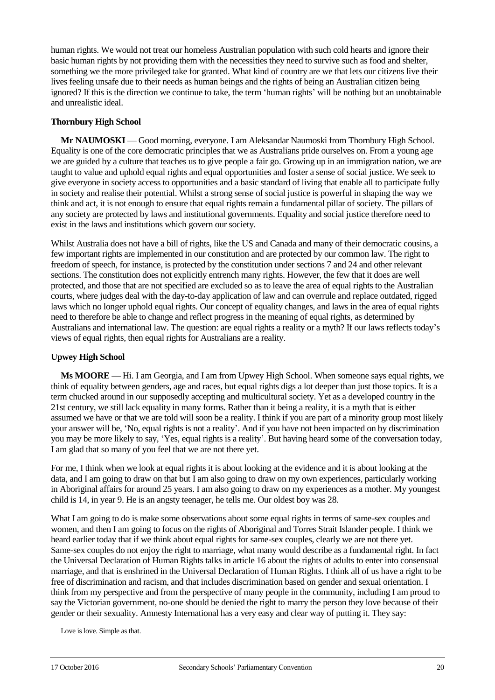human rights. We would not treat our homeless Australian population with such cold hearts and ignore their basic human rights by not providing them with the necessities they need to survive such as food and shelter, something we the more privileged take for granted. What kind of country are we that lets our citizens live their lives feeling unsafe due to their needs as human beings and the rights of being an Australian citizen being ignored? If this is the direction we continue to take, the term 'human rights' will be nothing but an unobtainable and unrealistic ideal.

## **Thornbury High School**

**Mr NAUMOSKI** — Good morning, everyone. I am Aleksandar Naumoski from Thornbury High School. Equality is one of the core democratic principles that we as Australians pride ourselves on. From a young age we are guided by a culture that teaches us to give people a fair go. Growing up in an immigration nation, we are taught to value and uphold equal rights and equal opportunities and foster a sense of social justice. We seek to give everyone in society access to opportunities and a basic standard of living that enable all to participate fully in society and realise their potential. Whilst a strong sense of social justice is powerful in shaping the way we think and act, it is not enough to ensure that equal rights remain a fundamental pillar of society. The pillars of any society are protected by laws and institutional governments. Equality and social justice therefore need to exist in the laws and institutions which govern our society.

Whilst Australia does not have a bill of rights, like the US and Canada and many of their democratic cousins, a few important rights are implemented in our constitution and are protected by our common law. The right to freedom of speech, for instance, is protected by the constitution under sections 7 and 24 and other relevant sections. The constitution does not explicitly entrench many rights. However, the few that it does are well protected, and those that are not specified are excluded so as to leave the area of equal rights to the Australian courts, where judges deal with the day-to-day application of law and can overrule and replace outdated, rigged laws which no longer uphold equal rights. Our concept of equality changes, and laws in the area of equal rights need to therefore be able to change and reflect progress in the meaning of equal rights, as determined by Australians and international law. The question: are equal rights a reality or a myth? If our laws reflects today's views of equal rights, then equal rights for Australians are a reality.

#### **Upwey High School**

**Ms MOORE** — Hi. I am Georgia, and I am from Upwey High School. When someone says equal rights, we think of equality between genders, age and races, but equal rights digs a lot deeper than just those topics. It is a term chucked around in our supposedly accepting and multicultural society. Yet as a developed country in the 21st century, we still lack equality in many forms. Rather than it being a reality, it is a myth that is either assumed we have or that we are told will soon be a reality. I think if you are part of a minority group most likely your answer will be, 'No, equal rights is not a reality'. And if you have not been impacted on by discrimination you may be more likely to say, 'Yes, equal rights is a reality'. But having heard some of the conversation today, I am glad that so many of you feel that we are not there yet.

For me, I think when we look at equal rights it is about looking at the evidence and it is about looking at the data, and I am going to draw on that but I am also going to draw on my own experiences, particularly working in Aboriginal affairs for around 25 years. I am also going to draw on my experiences as a mother. My youngest child is 14, in year 9. He is an angsty teenager, he tells me. Our oldest boy was 28.

What I am going to do is make some observations about some equal rights in terms of same-sex couples and women, and then I am going to focus on the rights of Aboriginal and Torres Strait Islander people. I think we heard earlier today that if we think about equal rights for same-sex couples, clearly we are not there yet. Same-sex couples do not enjoy the right to marriage, what many would describe as a fundamental right. In fact the Universal Declaration of Human Rights talks in article 16 about the rights of adults to enter into consensual marriage, and that is enshrined in the Universal Declaration of Human Rights. I think all of us have a right to be free of discrimination and racism, and that includes discrimination based on gender and sexual orientation. I think from my perspective and from the perspective of many people in the community, including I am proud to say the Victorian government, no-one should be denied the right to marry the person they love because of their gender or their sexuality. Amnesty International has a very easy and clear way of putting it. They say:

Love is love. Simple as that.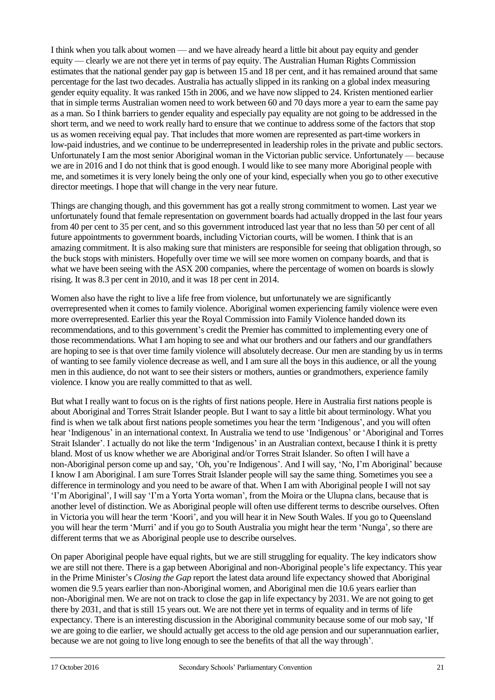I think when you talk about women — and we have already heard a little bit about pay equity and gender equity — clearly we are not there yet in terms of pay equity. The Australian Human Rights Commission estimates that the national gender pay gap is between 15 and 18 per cent, and it has remained around that same percentage for the last two decades. Australia has actually slipped in its ranking on a global index measuring gender equity equality. It was ranked 15th in 2006, and we have now slipped to 24. Kristen mentioned earlier that in simple terms Australian women need to work between 60 and 70 days more a year to earn the same pay as a man. So I think barriers to gender equality and especially pay equality are not going to be addressed in the short term, and we need to work really hard to ensure that we continue to address some of the factors that stop us as women receiving equal pay. That includes that more women are represented as part-time workers in low-paid industries, and we continue to be underrepresented in leadership roles in the private and public sectors. Unfortunately I am the most senior Aboriginal woman in the Victorian public service. Unfortunately — because we are in 2016 and I do not think that is good enough. I would like to see many more Aboriginal people with me, and sometimes it is very lonely being the only one of your kind, especially when you go to other executive director meetings. I hope that will change in the very near future.

Things are changing though, and this government has got a really strong commitment to women. Last year we unfortunately found that female representation on government boards had actually dropped in the last four years from 40 per cent to 35 per cent, and so this government introduced last year that no less than 50 per cent of all future appointments to government boards, including Victorian courts, will be women. I think that is an amazing commitment. It is also making sure that ministers are responsible for seeing that obligation through, so the buck stops with ministers. Hopefully over time we will see more women on company boards, and that is what we have been seeing with the ASX 200 companies, where the percentage of women on boards is slowly rising. It was 8.3 per cent in 2010, and it was 18 per cent in 2014.

Women also have the right to live a life free from violence, but unfortunately we are significantly overrepresented when it comes to family violence. Aboriginal women experiencing family violence were even more overrepresented. Earlier this year the Royal Commission into Family Violence handed down its recommendations, and to this government's credit the Premier has committed to implementing every one of those recommendations. What I am hoping to see and what our brothers and our fathers and our grandfathers are hoping to see is that over time family violence will absolutely decrease. Our men are standing by us in terms of wanting to see family violence decrease as well, and I am sure all the boys in this audience, or all the young men in this audience, do not want to see their sisters or mothers, aunties or grandmothers, experience family violence. I know you are really committed to that as well.

But what I really want to focus on is the rights of first nations people. Here in Australia first nations people is about Aboriginal and Torres Strait Islander people. But I want to say a little bit about terminology. What you find is when we talk about first nations people sometimes you hear the term 'Indigenous', and you will often hear 'Indigenous' in an international context. In Australia we tend to use 'Indigenous' or 'Aboriginal and Torres Strait Islander'. I actually do not like the term 'Indigenous' in an Australian context, because I think it is pretty bland. Most of us know whether we are Aboriginal and/or Torres Strait Islander. So often I will have a non-Aboriginal person come up and say, 'Oh, you're Indigenous'. And I will say, 'No, I'm Aboriginal' because I know I am Aboriginal. I am sure Torres Strait Islander people will say the same thing. Sometimes you see a difference in terminology and you need to be aware of that. When I am with Aboriginal people I will not say 'I'm Aboriginal', I will say 'I'm a Yorta Yorta woman', from the Moira or the Ulupna clans, because that is another level of distinction. We as Aboriginal people will often use different terms to describe ourselves. Often in Victoria you will hear the term 'Koori', and you will hear it in New South Wales. If you go to Queensland you will hear the term 'Murri' and if you go to South Australia you might hear the term 'Nunga', so there are different terms that we as Aboriginal people use to describe ourselves.

On paper Aboriginal people have equal rights, but we are still struggling for equality. The key indicators show we are still not there. There is a gap between Aboriginal and non-Aboriginal people's life expectancy. This year in the Prime Minister's *Closing the Gap* report the latest data around life expectancy showed that Aboriginal women die 9.5 years earlier than non-Aboriginal women, and Aboriginal men die 10.6 years earlier than non-Aboriginal men. We are not on track to close the gap in life expectancy by 2031. We are not going to get there by 2031, and that is still 15 years out. We are not there yet in terms of equality and in terms of life expectancy. There is an interesting discussion in the Aboriginal community because some of our mob say, 'If we are going to die earlier, we should actually get access to the old age pension and our superannuation earlier, because we are not going to live long enough to see the benefits of that all the way through'.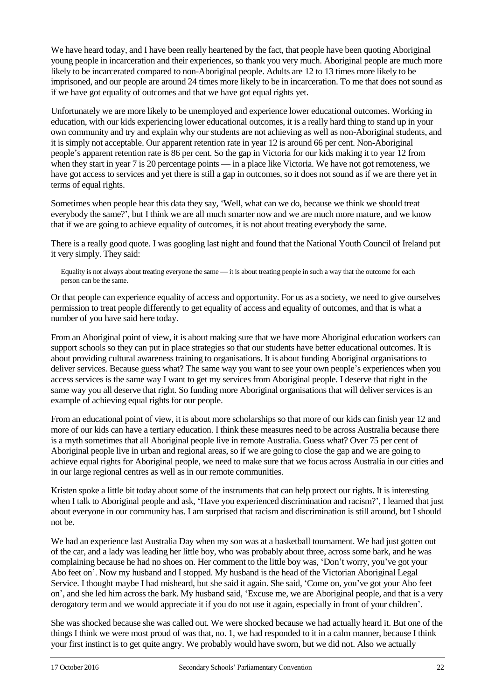We have heard today, and I have been really heartened by the fact, that people have been quoting Aboriginal young people in incarceration and their experiences, so thank you very much. Aboriginal people are much more likely to be incarcerated compared to non-Aboriginal people. Adults are 12 to 13 times more likely to be imprisoned, and our people are around 24 times more likely to be in incarceration. To me that does not sound as if we have got equality of outcomes and that we have got equal rights yet.

Unfortunately we are more likely to be unemployed and experience lower educational outcomes. Working in education, with our kids experiencing lower educational outcomes, it is a really hard thing to stand up in your own community and try and explain why our students are not achieving as well as non-Aboriginal students, and it is simply not acceptable. Our apparent retention rate in year 12 is around 66 per cent. Non-Aboriginal people's apparent retention rate is 86 per cent. So the gap in Victoria for our kids making it to year 12 from when they start in year 7 is 20 percentage points — in a place like Victoria. We have not got remoteness, we have got access to services and yet there is still a gap in outcomes, so it does not sound as if we are there yet in terms of equal rights.

Sometimes when people hear this data they say, 'Well, what can we do, because we think we should treat everybody the same?', but I think we are all much smarter now and we are much more mature, and we know that if we are going to achieve equality of outcomes, it is not about treating everybody the same.

There is a really good quote. I was googling last night and found that the National Youth Council of Ireland put it very simply. They said:

Equality is not always about treating everyone the same — it is about treating people in such a way that the outcome for each person can be the same.

Or that people can experience equality of access and opportunity. For us as a society, we need to give ourselves permission to treat people differently to get equality of access and equality of outcomes, and that is what a number of you have said here today.

From an Aboriginal point of view, it is about making sure that we have more Aboriginal education workers can support schools so they can put in place strategies so that our students have better educational outcomes. It is about providing cultural awareness training to organisations. It is about funding Aboriginal organisations to deliver services. Because guess what? The same way you want to see your own people's experiences when you access services is the same way I want to get my services from Aboriginal people. I deserve that right in the same way you all deserve that right. So funding more Aboriginal organisations that will deliver services is an example of achieving equal rights for our people.

From an educational point of view, it is about more scholarships so that more of our kids can finish year 12 and more of our kids can have a tertiary education. I think these measures need to be across Australia because there is a myth sometimes that all Aboriginal people live in remote Australia. Guess what? Over 75 per cent of Aboriginal people live in urban and regional areas, so if we are going to close the gap and we are going to achieve equal rights for Aboriginal people, we need to make sure that we focus across Australia in our cities and in our large regional centres as well as in our remote communities.

Kristen spoke a little bit today about some of the instruments that can help protect our rights. It is interesting when I talk to Aboriginal people and ask, 'Have you experienced discrimination and racism?', I learned that just about everyone in our community has. I am surprised that racism and discrimination is still around, but I should not be.

We had an experience last Australia Day when my son was at a basketball tournament. We had just gotten out of the car, and a lady was leading her little boy, who was probably about three, across some bark, and he was complaining because he had no shoes on. Her comment to the little boy was, 'Don't worry, you've got your Abo feet on'. Now my husband and I stopped. My husband is the head of the Victorian Aboriginal Legal Service. I thought maybe I had misheard, but she said it again. She said, 'Come on, you've got your Abo feet on', and she led him across the bark. My husband said, 'Excuse me, we are Aboriginal people, and that is a very derogatory term and we would appreciate it if you do not use it again, especially in front of your children'.

She was shocked because she was called out. We were shocked because we had actually heard it. But one of the things I think we were most proud of was that, no. 1, we had responded to it in a calm manner, because I think your first instinct is to get quite angry. We probably would have sworn, but we did not. Also we actually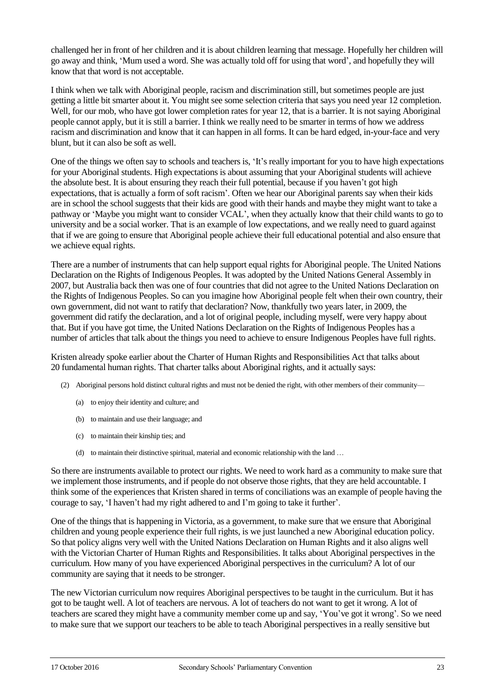challenged her in front of her children and it is about children learning that message. Hopefully her children will go away and think, 'Mum used a word. She was actually told off for using that word', and hopefully they will know that that word is not acceptable.

I think when we talk with Aboriginal people, racism and discrimination still, but sometimes people are just getting a little bit smarter about it. You might see some selection criteria that says you need year 12 completion. Well, for our mob, who have got lower completion rates for year 12, that is a barrier. It is not saying Aboriginal people cannot apply, but it is still a barrier. I think we really need to be smarter in terms of how we address racism and discrimination and know that it can happen in all forms. It can be hard edged, in-your-face and very blunt, but it can also be soft as well.

One of the things we often say to schools and teachers is, 'It's really important for you to have high expectations for your Aboriginal students. High expectations is about assuming that your Aboriginal students will achieve the absolute best. It is about ensuring they reach their full potential, because if you haven't got high expectations, that is actually a form of soft racism'. Often we hear our Aboriginal parents say when their kids are in school the school suggests that their kids are good with their hands and maybe they might want to take a pathway or 'Maybe you might want to consider VCAL', when they actually know that their child wants to go to university and be a social worker. That is an example of low expectations, and we really need to guard against that if we are going to ensure that Aboriginal people achieve their full educational potential and also ensure that we achieve equal rights.

There are a number of instruments that can help support equal rights for Aboriginal people. The United Nations Declaration on the Rights of Indigenous Peoples. It was adopted by the United Nations General Assembly in 2007, but Australia back then was one of four countries that did not agree to the United Nations Declaration on the Rights of Indigenous Peoples. So can you imagine how Aboriginal people felt when their own country, their own government, did not want to ratify that declaration? Now, thankfully two years later, in 2009, the government did ratify the declaration, and a lot of original people, including myself, were very happy about that. But if you have got time, the United Nations Declaration on the Rights of Indigenous Peoples has a number of articles that talk about the things you need to achieve to ensure Indigenous Peoples have full rights.

Kristen already spoke earlier about the Charter of Human Rights and Responsibilities Act that talks about 20 fundamental human rights. That charter talks about Aboriginal rights, and it actually says:

- (2) Aboriginal persons hold distinct cultural rights and must not be denied the right, with other members of their community—
	- (a) to enjoy their identity and culture; and
	- (b) to maintain and use their language; and
	- (c) to maintain their kinship ties; and
	- (d) to maintain their distinctive spiritual, material and economic relationship with the land …

So there are instruments available to protect our rights. We need to work hard as a community to make sure that we implement those instruments, and if people do not observe those rights, that they are held accountable. I think some of the experiences that Kristen shared in terms of conciliations was an example of people having the courage to say, 'I haven't had my right adhered to and I'm going to take it further'.

One of the things that is happening in Victoria, as a government, to make sure that we ensure that Aboriginal children and young people experience their full rights, is we just launched a new Aboriginal education policy. So that policy aligns very well with the United Nations Declaration on Human Rights and it also aligns well with the Victorian Charter of Human Rights and Responsibilities. It talks about Aboriginal perspectives in the curriculum. How many of you have experienced Aboriginal perspectives in the curriculum? A lot of our community are saying that it needs to be stronger.

The new Victorian curriculum now requires Aboriginal perspectives to be taught in the curriculum. But it has got to be taught well. A lot of teachers are nervous. A lot of teachers do not want to get it wrong. A lot of teachers are scared they might have a community member come up and say, 'You've got it wrong'. So we need to make sure that we support our teachers to be able to teach Aboriginal perspectives in a really sensitive but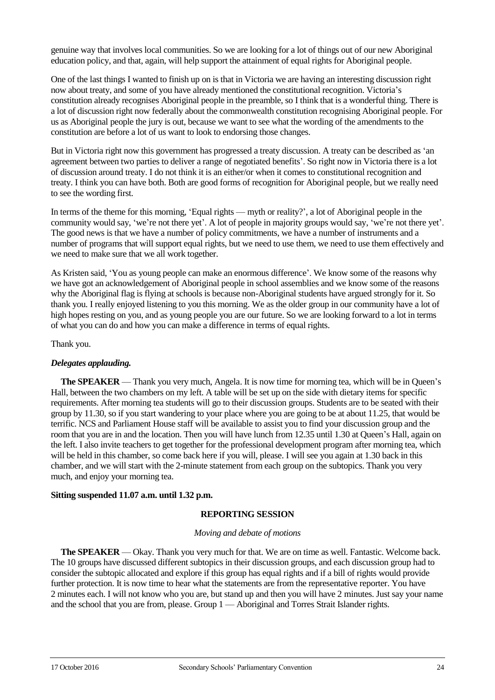genuine way that involves local communities. So we are looking for a lot of things out of our new Aboriginal education policy, and that, again, will help support the attainment of equal rights for Aboriginal people.

One of the last things I wanted to finish up on is that in Victoria we are having an interesting discussion right now about treaty, and some of you have already mentioned the constitutional recognition. Victoria's constitution already recognises Aboriginal people in the preamble, so I think that is a wonderful thing. There is a lot of discussion right now federally about the commonwealth constitution recognising Aboriginal people. For us as Aboriginal people the jury is out, because we want to see what the wording of the amendments to the constitution are before a lot of us want to look to endorsing those changes.

But in Victoria right now this government has progressed a treaty discussion. A treaty can be described as 'an agreement between two parties to deliver a range of negotiated benefits'. So right now in Victoria there is a lot of discussion around treaty. I do not think it is an either/or when it comes to constitutional recognition and treaty. I think you can have both. Both are good forms of recognition for Aboriginal people, but we really need to see the wording first.

In terms of the theme for this morning, 'Equal rights — myth or reality?', a lot of Aboriginal people in the community would say, 'we're not there yet'. A lot of people in majority groups would say, 'we're not there yet'. The good news is that we have a number of policy commitments, we have a number of instruments and a number of programs that will support equal rights, but we need to use them, we need to use them effectively and we need to make sure that we all work together.

As Kristen said, 'You as young people can make an enormous difference'. We know some of the reasons why we have got an acknowledgement of Aboriginal people in school assemblies and we know some of the reasons why the Aboriginal flag is flying at schools is because non-Aboriginal students have argued strongly for it. So thank you. I really enjoyed listening to you this morning. We as the older group in our community have a lot of high hopes resting on you, and as young people you are our future. So we are looking forward to a lot in terms of what you can do and how you can make a difference in terms of equal rights.

#### Thank you.

#### *Delegates applauding.*

**The SPEAKER** — Thank you very much, Angela. It is now time for morning tea, which will be in Queen's Hall, between the two chambers on my left. A table will be set up on the side with dietary items for specific requirements. After morning tea students will go to their discussion groups. Students are to be seated with their group by 11.30, so if you start wandering to your place where you are going to be at about 11.25, that would be terrific. NCS and Parliament House staff will be available to assist you to find your discussion group and the room that you are in and the location. Then you will have lunch from 12.35 until 1.30 at Queen's Hall, again on the left. I also invite teachers to get together for the professional development program after morning tea, which will be held in this chamber, so come back here if you will, please. I will see you again at 1.30 back in this chamber, and we will start with the 2-minute statement from each group on the subtopics. Thank you very much, and enjoy your morning tea.

## **Sitting suspended 11.07 a.m. until 1.32 p.m.**

## **REPORTING SESSION**

#### *Moving and debate of motions*

**The SPEAKER** — Okay. Thank you very much for that. We are on time as well. Fantastic. Welcome back. The 10 groups have discussed different subtopics in their discussion groups, and each discussion group had to consider the subtopic allocated and explore if this group has equal rights and if a bill of rights would provide further protection. It is now time to hear what the statements are from the representative reporter. You have 2 minutes each. I will not know who you are, but stand up and then you will have 2 minutes. Just say your name and the school that you are from, please. Group 1 — Aboriginal and Torres Strait Islander rights.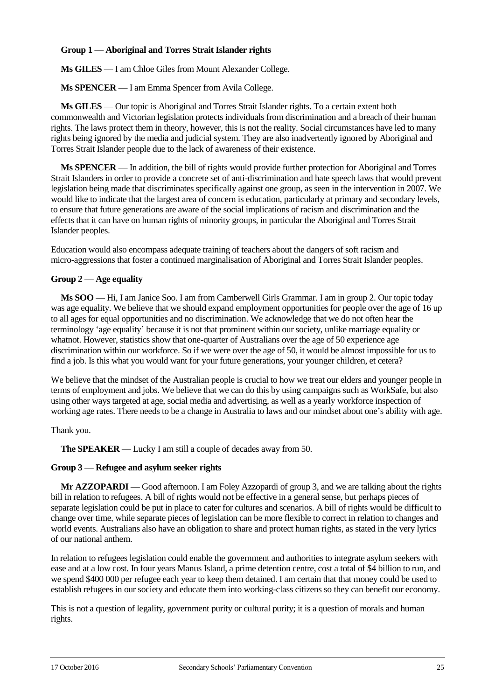## **Group 1** — **Aboriginal and Torres Strait Islander rights**

**Ms GILES** — I am Chloe Giles from Mount Alexander College.

**Ms SPENCER** — I am Emma Spencer from Avila College.

**Ms GILES** — Our topic is Aboriginal and Torres Strait Islander rights. To a certain extent both commonwealth and Victorian legislation protects individuals from discrimination and a breach of their human rights. The laws protect them in theory, however, this is not the reality. Social circumstances have led to many rights being ignored by the media and judicial system. They are also inadvertently ignored by Aboriginal and Torres Strait Islander people due to the lack of awareness of their existence.

**Ms SPENCER** — In addition, the bill of rights would provide further protection for Aboriginal and Torres Strait Islanders in order to provide a concrete set of anti-discrimination and hate speech laws that would prevent legislation being made that discriminates specifically against one group, as seen in the intervention in 2007. We would like to indicate that the largest area of concern is education, particularly at primary and secondary levels, to ensure that future generations are aware of the social implications of racism and discrimination and the effects that it can have on human rights of minority groups, in particular the Aboriginal and Torres Strait Islander peoples.

Education would also encompass adequate training of teachers about the dangers of soft racism and micro-aggressions that foster a continued marginalisation of Aboriginal and Torres Strait Islander peoples.

## **Group 2** — **Age equality**

**Ms SOO** — Hi, I am Janice Soo. I am from Camberwell Girls Grammar. I am in group 2. Our topic today was age equality. We believe that we should expand employment opportunities for people over the age of 16 up to all ages for equal opportunities and no discrimination. We acknowledge that we do not often hear the terminology 'age equality' because it is not that prominent within our society, unlike marriage equality or whatnot. However, statistics show that one-quarter of Australians over the age of 50 experience age discrimination within our workforce. So if we were over the age of 50, it would be almost impossible for us to find a job. Is this what you would want for your future generations, your younger children, et cetera?

We believe that the mindset of the Australian people is crucial to how we treat our elders and younger people in terms of employment and jobs. We believe that we can do this by using campaigns such as WorkSafe, but also using other ways targeted at age, social media and advertising, as well as a yearly workforce inspection of working age rates. There needs to be a change in Australia to laws and our mindset about one's ability with age.

Thank you.

**The SPEAKER** — Lucky I am still a couple of decades away from 50.

#### **Group 3** — **Refugee and asylum seeker rights**

**Mr AZZOPARDI** — Good afternoon. I am Foley Azzopardi of group 3, and we are talking about the rights bill in relation to refugees. A bill of rights would not be effective in a general sense, but perhaps pieces of separate legislation could be put in place to cater for cultures and scenarios. A bill of rights would be difficult to change over time, while separate pieces of legislation can be more flexible to correct in relation to changes and world events. Australians also have an obligation to share and protect human rights, as stated in the very lyrics of our national anthem.

In relation to refugees legislation could enable the government and authorities to integrate asylum seekers with ease and at a low cost. In four years Manus Island, a prime detention centre, cost a total of \$4 billion to run, and we spend \$400 000 per refugee each year to keep them detained. I am certain that that money could be used to establish refugees in our society and educate them into working-class citizens so they can benefit our economy.

This is not a question of legality, government purity or cultural purity; it is a question of morals and human rights.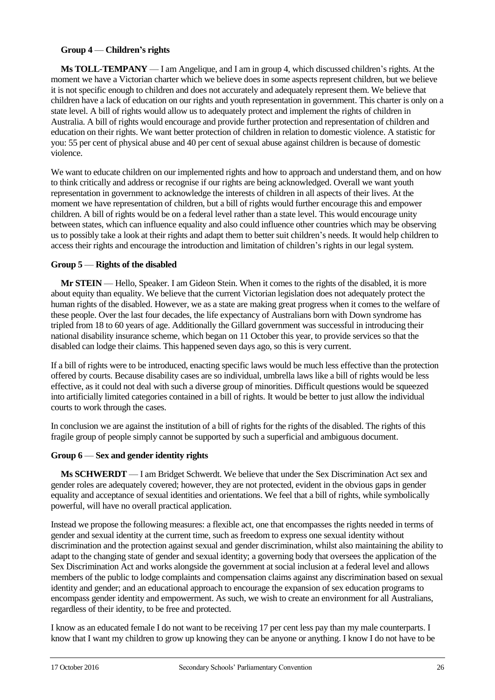# **Group 4** — **Children's rights**

**Ms TOLL-TEMPANY** — I am Angelique, and I am in group 4, which discussed children's rights. At the moment we have a Victorian charter which we believe does in some aspects represent children, but we believe it is not specific enough to children and does not accurately and adequately represent them. We believe that children have a lack of education on our rights and youth representation in government. This charter is only on a state level. A bill of rights would allow us to adequately protect and implement the rights of children in Australia. A bill of rights would encourage and provide further protection and representation of children and education on their rights. We want better protection of children in relation to domestic violence. A statistic for you: 55 per cent of physical abuse and 40 per cent of sexual abuse against children is because of domestic violence.

We want to educate children on our implemented rights and how to approach and understand them, and on how to think critically and address or recognise if our rights are being acknowledged. Overall we want youth representation in government to acknowledge the interests of children in all aspects of their lives. At the moment we have representation of children, but a bill of rights would further encourage this and empower children. A bill of rights would be on a federal level rather than a state level. This would encourage unity between states, which can influence equality and also could influence other countries which may be observing us to possibly take a look at their rights and adapt them to better suit children's needs. It would help children to access their rights and encourage the introduction and limitation of children's rights in our legal system.

# **Group 5** — **Rights of the disabled**

**Mr STEIN** — Hello, Speaker. I am Gideon Stein. When it comes to the rights of the disabled, it is more about equity than equality. We believe that the current Victorian legislation does not adequately protect the human rights of the disabled. However, we as a state are making great progress when it comes to the welfare of these people. Over the last four decades, the life expectancy of Australians born with Down syndrome has tripled from 18 to 60 years of age. Additionally the Gillard government was successful in introducing their national disability insurance scheme, which began on 11 October this year, to provide services so that the disabled can lodge their claims. This happened seven days ago, so this is very current.

If a bill of rights were to be introduced, enacting specific laws would be much less effective than the protection offered by courts. Because disability cases are so individual, umbrella laws like a bill of rights would be less effective, as it could not deal with such a diverse group of minorities. Difficult questions would be squeezed into artificially limited categories contained in a bill of rights. It would be better to just allow the individual courts to work through the cases.

In conclusion we are against the institution of a bill of rights for the rights of the disabled. The rights of this fragile group of people simply cannot be supported by such a superficial and ambiguous document.

## **Group 6** — **Sex and gender identity rights**

**Ms SCHWERDT** — I am Bridget Schwerdt. We believe that under the Sex Discrimination Act sex and gender roles are adequately covered; however, they are not protected, evident in the obvious gaps in gender equality and acceptance of sexual identities and orientations. We feel that a bill of rights, while symbolically powerful, will have no overall practical application.

Instead we propose the following measures: a flexible act, one that encompasses the rights needed in terms of gender and sexual identity at the current time, such as freedom to express one sexual identity without discrimination and the protection against sexual and gender discrimination, whilst also maintaining the ability to adapt to the changing state of gender and sexual identity; a governing body that oversees the application of the Sex Discrimination Act and works alongside the government at social inclusion at a federal level and allows members of the public to lodge complaints and compensation claims against any discrimination based on sexual identity and gender; and an educational approach to encourage the expansion of sex education programs to encompass gender identity and empowerment. As such, we wish to create an environment for all Australians, regardless of their identity, to be free and protected.

I know as an educated female I do not want to be receiving 17 per cent less pay than my male counterparts. I know that I want my children to grow up knowing they can be anyone or anything. I know I do not have to be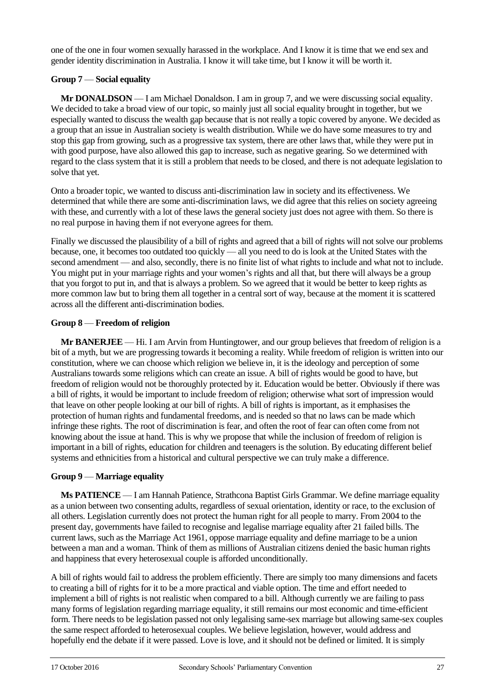one of the one in four women sexually harassed in the workplace. And I know it is time that we end sex and gender identity discrimination in Australia. I know it will take time, but I know it will be worth it.

# **Group 7** — **Social equality**

**Mr DONALDSON** — I am Michael Donaldson. I am in group 7, and we were discussing social equality. We decided to take a broad view of our topic, so mainly just all social equality brought in together, but we especially wanted to discuss the wealth gap because that is not really a topic covered by anyone. We decided as a group that an issue in Australian society is wealth distribution. While we do have some measures to try and stop this gap from growing, such as a progressive tax system, there are other laws that, while they were put in with good purpose, have also allowed this gap to increase, such as negative gearing. So we determined with regard to the class system that it is still a problem that needs to be closed, and there is not adequate legislation to solve that yet.

Onto a broader topic, we wanted to discuss anti-discrimination law in society and its effectiveness. We determined that while there are some anti-discrimination laws, we did agree that this relies on society agreeing with these, and currently with a lot of these laws the general society just does not agree with them. So there is no real purpose in having them if not everyone agrees for them.

Finally we discussed the plausibility of a bill of rights and agreed that a bill of rights will not solve our problems because, one, it becomes too outdated too quickly — all you need to do is look at the United States with the second amendment — and also, secondly, there is no finite list of what rights to include and what not to include. You might put in your marriage rights and your women's rights and all that, but there will always be a group that you forgot to put in, and that is always a problem. So we agreed that it would be better to keep rights as more common law but to bring them all together in a central sort of way, because at the moment it is scattered across all the different anti-discrimination bodies.

## **Group 8** — **Freedom of religion**

**Mr BANERJEE** — Hi. I am Arvin from Huntingtower, and our group believes that freedom of religion is a bit of a myth, but we are progressing towards it becoming a reality. While freedom of religion is written into our constitution, where we can choose which religion we believe in, it is the ideology and perception of some Australians towards some religions which can create an issue. A bill of rights would be good to have, but freedom of religion would not be thoroughly protected by it. Education would be better. Obviously if there was a bill of rights, it would be important to include freedom of religion; otherwise what sort of impression would that leave on other people looking at our bill of rights. A bill of rights is important, as it emphasises the protection of human rights and fundamental freedoms, and is needed so that no laws can be made which infringe these rights. The root of discrimination is fear, and often the root of fear can often come from not knowing about the issue at hand. This is why we propose that while the inclusion of freedom of religion is important in a bill of rights, education for children and teenagers is the solution. By educating different belief systems and ethnicities from a historical and cultural perspective we can truly make a difference.

#### **Group 9** — **Marriage equality**

**Ms PATIENCE** — I am Hannah Patience, Strathcona Baptist Girls Grammar. We define marriage equality as a union between two consenting adults, regardless of sexual orientation, identity or race, to the exclusion of all others. Legislation currently does not protect the human right for all people to marry. From 2004 to the present day, governments have failed to recognise and legalise marriage equality after 21 failed bills. The current laws, such as the Marriage Act 1961, oppose marriage equality and define marriage to be a union between a man and a woman. Think of them as millions of Australian citizens denied the basic human rights and happiness that every heterosexual couple is afforded unconditionally.

A bill of rights would fail to address the problem efficiently. There are simply too many dimensions and facets to creating a bill of rights for it to be a more practical and viable option. The time and effort needed to implement a bill of rights is not realistic when compared to a bill. Although currently we are failing to pass many forms of legislation regarding marriage equality, it still remains our most economic and time-efficient form. There needs to be legislation passed not only legalising same-sex marriage but allowing same-sex couples the same respect afforded to heterosexual couples. We believe legislation, however, would address and hopefully end the debate if it were passed. Love is love, and it should not be defined or limited. It is simply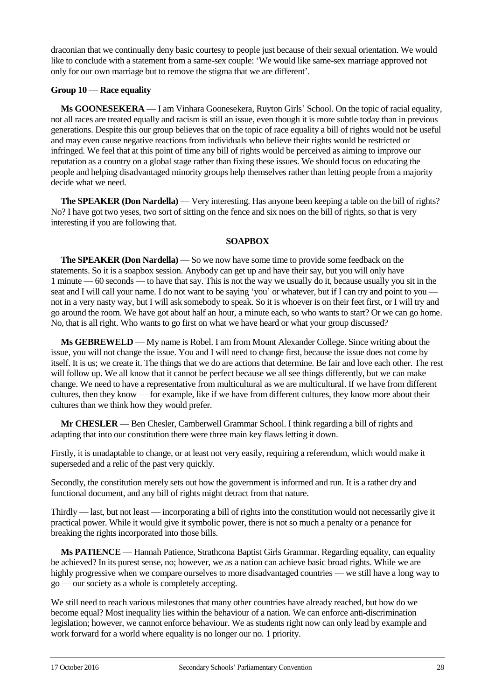draconian that we continually deny basic courtesy to people just because of their sexual orientation. We would like to conclude with a statement from a same-sex couple: 'We would like same-sex marriage approved not only for our own marriage but to remove the stigma that we are different'.

## **Group 10** — **Race equality**

**Ms GOONESEKERA** — I am Vinhara Goonesekera, Ruyton Girls' School. On the topic of racial equality, not all races are treated equally and racism is still an issue, even though it is more subtle today than in previous generations. Despite this our group believes that on the topic of race equality a bill of rights would not be useful and may even cause negative reactions from individuals who believe their rights would be restricted or infringed. We feel that at this point of time any bill of rights would be perceived as aiming to improve our reputation as a country on a global stage rather than fixing these issues. We should focus on educating the people and helping disadvantaged minority groups help themselves rather than letting people from a majority decide what we need.

**The SPEAKER (Don Nardella)** — Very interesting. Has anyone been keeping a table on the bill of rights? No? I have got two yeses, two sort of sitting on the fence and six noes on the bill of rights, so that is very interesting if you are following that.

## **SOAPBOX**

**The SPEAKER (Don Nardella)** — So we now have some time to provide some feedback on the statements. So it is a soapbox session. Anybody can get up and have their say, but you will only have 1 minute — 60 seconds — to have that say. This is not the way we usually do it, because usually you sit in the seat and I will call your name. I do not want to be saying 'you' or whatever, but if I can try and point to you not in a very nasty way, but I will ask somebody to speak. So it is whoever is on their feet first, or I will try and go around the room. We have got about half an hour, a minute each, so who wants to start? Or we can go home. No, that is all right. Who wants to go first on what we have heard or what your group discussed?

**Ms GEBREWELD** — My name is Robel. I am from Mount Alexander College. Since writing about the issue, you will not change the issue. You and I will need to change first, because the issue does not come by itself. It is us; we create it. The things that we do are actions that determine. Be fair and love each other. The rest will follow up. We all know that it cannot be perfect because we all see things differently, but we can make change. We need to have a representative from multicultural as we are multicultural. If we have from different cultures, then they know — for example, like if we have from different cultures, they know more about their cultures than we think how they would prefer.

**Mr CHESLER** — Ben Chesler, Camberwell Grammar School. I think regarding a bill of rights and adapting that into our constitution there were three main key flaws letting it down.

Firstly, it is unadaptable to change, or at least not very easily, requiring a referendum, which would make it superseded and a relic of the past very quickly.

Secondly, the constitution merely sets out how the government is informed and run. It is a rather dry and functional document, and any bill of rights might detract from that nature.

Thirdly — last, but not least — incorporating a bill of rights into the constitution would not necessarily give it practical power. While it would give it symbolic power, there is not so much a penalty or a penance for breaking the rights incorporated into those bills.

**Ms PATIENCE** — Hannah Patience, Strathcona Baptist Girls Grammar. Regarding equality, can equality be achieved? In its purest sense, no; however, we as a nation can achieve basic broad rights. While we are highly progressive when we compare ourselves to more disadvantaged countries — we still have a long way to go — our society as a whole is completely accepting.

We still need to reach various milestones that many other countries have already reached, but how do we become equal? Most inequality lies within the behaviour of a nation. We can enforce anti-discrimination legislation; however, we cannot enforce behaviour. We as students right now can only lead by example and work forward for a world where equality is no longer our no. 1 priority.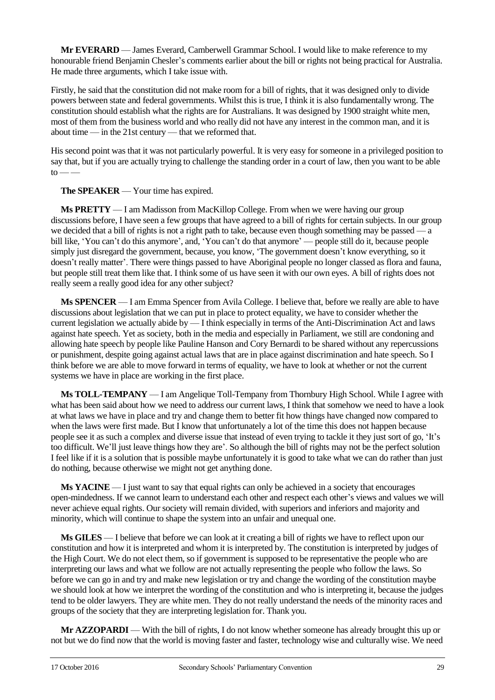**Mr EVERARD** — James Everard, Camberwell Grammar School. I would like to make reference to my honourable friend Benjamin Chesler's comments earlier about the bill or rights not being practical for Australia. He made three arguments, which I take issue with.

Firstly, he said that the constitution did not make room for a bill of rights, that it was designed only to divide powers between state and federal governments. Whilst this is true, I think it is also fundamentally wrong. The constitution should establish what the rights are for Australians. It was designed by 1900 straight white men, most of them from the business world and who really did not have any interest in the common man, and it is about time — in the 21st century — that we reformed that.

His second point was that it was not particularly powerful. It is very easy for someone in a privileged position to say that, but if you are actually trying to challenge the standing order in a court of law, then you want to be able  $to \_\_$ 

**The SPEAKER** — Your time has expired.

**Ms PRETTY** — I am Madisson from MacKillop College. From when we were having our group discussions before, I have seen a few groups that have agreed to a bill of rights for certain subjects. In our group we decided that a bill of rights is not a right path to take, because even though something may be passed — a bill like, 'You can't do this anymore', and, 'You can't do that anymore' — people still do it, because people simply just disregard the government, because, you know, 'The government doesn't know everything, so it doesn't really matter'. There were things passed to have Aboriginal people no longer classed as flora and fauna, but people still treat them like that. I think some of us have seen it with our own eyes. A bill of rights does not really seem a really good idea for any other subject?

**Ms SPENCER** — I am Emma Spencer from Avila College. I believe that, before we really are able to have discussions about legislation that we can put in place to protect equality, we have to consider whether the current legislation we actually abide by — I think especially in terms of the Anti-Discrimination Act and laws against hate speech. Yet as society, both in the media and especially in Parliament, we still are condoning and allowing hate speech by people like Pauline Hanson and Cory Bernardi to be shared without any repercussions or punishment, despite going against actual laws that are in place against discrimination and hate speech. So I think before we are able to move forward in terms of equality, we have to look at whether or not the current systems we have in place are working in the first place.

**Ms TOLL-TEMPANY** — I am Angelique Toll-Tempany from Thornbury High School. While I agree with what has been said about how we need to address our current laws, I think that somehow we need to have a look at what laws we have in place and try and change them to better fit how things have changed now compared to when the laws were first made. But I know that unfortunately a lot of the time this does not happen because people see it as such a complex and diverse issue that instead of even trying to tackle it they just sort of go, 'It's too difficult. We'll just leave things how they are'. So although the bill of rights may not be the perfect solution I feel like if it is a solution that is possible maybe unfortunately it is good to take what we can do rather than just do nothing, because otherwise we might not get anything done.

**Ms YACINE** — I just want to say that equal rights can only be achieved in a society that encourages open-mindedness. If we cannot learn to understand each other and respect each other's views and values we will never achieve equal rights. Our society will remain divided, with superiors and inferiors and majority and minority, which will continue to shape the system into an unfair and unequal one.

**Ms GILES** — I believe that before we can look at it creating a bill of rights we have to reflect upon our constitution and how it is interpreted and whom it is interpreted by. The constitution is interpreted by judges of the High Court. We do not elect them, so if government is supposed to be representative the people who are interpreting our laws and what we follow are not actually representing the people who follow the laws. So before we can go in and try and make new legislation or try and change the wording of the constitution maybe we should look at how we interpret the wording of the constitution and who is interpreting it, because the judges tend to be older lawyers. They are white men. They do not really understand the needs of the minority races and groups of the society that they are interpreting legislation for. Thank you.

**Mr AZZOPARDI** — With the bill of rights, I do not know whether someone has already brought this up or not but we do find now that the world is moving faster and faster, technology wise and culturally wise. We need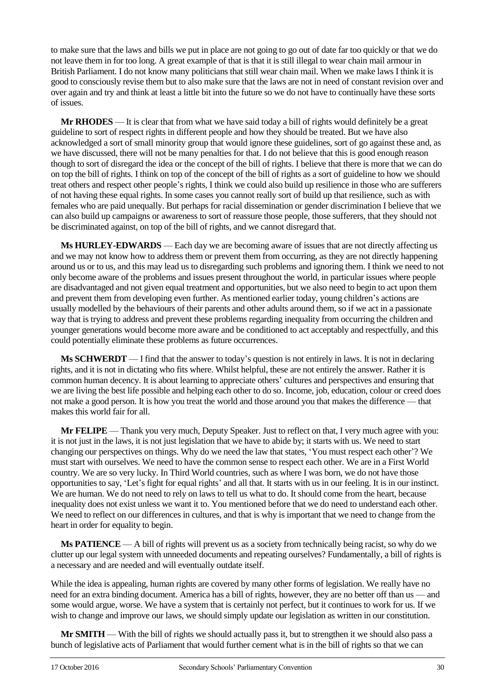to make sure that the laws and bills we put in place are not going to go out of date far too quickly or that we do not leave them in for too long. A great example of that is that it is still illegal to wear chain mail armour in British Parliament. I do not know many politicians that still wear chain mail. When we make laws I think it is good to consciously revise them but to also make sure that the laws are not in need of constant revision over and over again and try and think at least a little bit into the future so we do not have to continually have these sorts of issues.

**Mr RHODES** — It is clear that from what we have said today a bill of rights would definitely be a great guideline to sort of respect rights in different people and how they should be treated. But we have also acknowledged a sort of small minority group that would ignore these guidelines, sort of go against these and, as we have discussed, there will not be many penalties for that. I do not believe that this is good enough reason though to sort of disregard the idea or the concept of the bill of rights. I believe that there is more that we can do on top the bill of rights. I think on top of the concept of the bill of rights as a sort of guideline to how we should treat others and respect other people's rights, I think we could also build up resilience in those who are sufferers of not having these equal rights. In some cases you cannot really sort of build up that resilience, such as with females who are paid unequally. But perhaps for racial dissemination or gender discrimination I believe that we can also build up campaigns or awareness to sort of reassure those people, those sufferers, that they should not be discriminated against, on top of the bill of rights, and we cannot disregard that.

**Ms HURLEY-EDWARDS** — Each day we are becoming aware of issues that are not directly affecting us and we may not know how to address them or prevent them from occurring, as they are not directly happening around us or to us, and this may lead us to disregarding such problems and ignoring them. I think we need to not only become aware of the problems and issues present throughout the world, in particular issues where people are disadvantaged and not given equal treatment and opportunities, but we also need to begin to act upon them and prevent them from developing even further. As mentioned earlier today, young children's actions are usually modelled by the behaviours of their parents and other adults around them, so if we act in a passionate way that is trying to address and prevent these problems regarding inequality from occurring the children and younger generations would become more aware and be conditioned to act acceptably and respectfully, and this could potentially eliminate these problems as future occurrences.

**Ms SCHWERDT** — I find that the answer to today's question is not entirely in laws. It is not in declaring rights, and it is not in dictating who fits where. Whilst helpful, these are not entirely the answer. Rather it is common human decency. It is about learning to appreciate others' cultures and perspectives and ensuring that we are living the best life possible and helping each other to do so. Income, job, education, colour or creed does not make a good person. It is how you treat the world and those around you that makes the difference — that makes this world fair for all.

**Mr FELIPE** — Thank you very much, Deputy Speaker. Just to reflect on that, I very much agree with you: it is not just in the laws, it is not just legislation that we have to abide by; it starts with us. We need to start changing our perspectives on things. Why do we need the law that states, 'You must respect each other'? We must start with ourselves. We need to have the common sense to respect each other. We are in a First World country. We are so very lucky. In Third World countries, such as where I was born, we do not have those opportunities to say, 'Let's fight for equal rights' and all that. It starts with us in our feeling. It is in our instinct. We are human. We do not need to rely on laws to tell us what to do. It should come from the heart, because inequality does not exist unless we want it to. You mentioned before that we do need to understand each other. We need to reflect on our differences in cultures, and that is why is important that we need to change from the heart in order for equality to begin.

**Ms PATIENCE** — A bill of rights will prevent us as a society from technically being racist, so why do we clutter up our legal system with unneeded documents and repeating ourselves? Fundamentally, a bill of rights is a necessary and are needed and will eventually outdate itself.

While the idea is appealing, human rights are covered by many other forms of legislation. We really have no need for an extra binding document. America has a bill of rights, however, they are no better off than us — and some would argue, worse. We have a system that is certainly not perfect, but it continues to work for us. If we wish to change and improve our laws, we should simply update our legislation as written in our constitution.

**Mr SMITH** — With the bill of rights we should actually pass it, but to strengthen it we should also pass a bunch of legislative acts of Parliament that would further cement what is in the bill of rights so that we can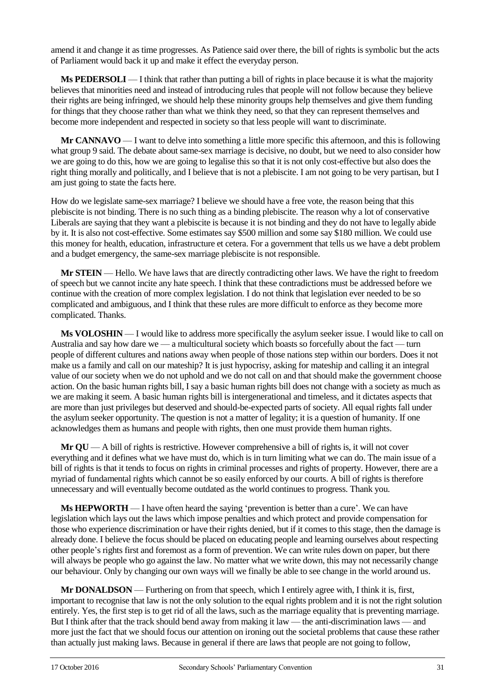amend it and change it as time progresses. As Patience said over there, the bill of rights is symbolic but the acts of Parliament would back it up and make it effect the everyday person.

**Ms PEDERSOLI** — I think that rather than putting a bill of rights in place because it is what the majority believes that minorities need and instead of introducing rules that people will not follow because they believe their rights are being infringed, we should help these minority groups help themselves and give them funding for things that they choose rather than what we think they need, so that they can represent themselves and become more independent and respected in society so that less people will want to discriminate.

**Mr CANNAVO** — I want to delve into something a little more specific this afternoon, and this is following what group 9 said. The debate about same-sex marriage is decisive, no doubt, but we need to also consider how we are going to do this, how we are going to legalise this so that it is not only cost-effective but also does the right thing morally and politically, and I believe that is not a plebiscite. I am not going to be very partisan, but I am just going to state the facts here.

How do we legislate same-sex marriage? I believe we should have a free vote, the reason being that this plebiscite is not binding. There is no such thing as a binding plebiscite. The reason why a lot of conservative Liberals are saying that they want a plebiscite is because it is not binding and they do not have to legally abide by it. It is also not cost-effective. Some estimates say \$500 million and some say \$180 million. We could use this money for health, education, infrastructure et cetera. For a government that tells us we have a debt problem and a budget emergency, the same-sex marriage plebiscite is not responsible.

**Mr STEIN** — Hello. We have laws that are directly contradicting other laws. We have the right to freedom of speech but we cannot incite any hate speech. I think that these contradictions must be addressed before we continue with the creation of more complex legislation. I do not think that legislation ever needed to be so complicated and ambiguous, and I think that these rules are more difficult to enforce as they become more complicated. Thanks.

**Ms VOLOSHIN** — I would like to address more specifically the asylum seeker issue. I would like to call on Australia and say how dare we — a multicultural society which boasts so forcefully about the fact — turn people of different cultures and nations away when people of those nations step within our borders. Does it not make us a family and call on our mateship? It is just hypocrisy, asking for mateship and calling it an integral value of our society when we do not uphold and we do not call on and that should make the government choose action. On the basic human rights bill, I say a basic human rights bill does not change with a society as much as we are making it seem. A basic human rights bill is intergenerational and timeless, and it dictates aspects that are more than just privileges but deserved and should-be-expected parts of society. All equal rights fall under the asylum seeker opportunity. The question is not a matter of legality; it is a question of humanity. If one acknowledges them as humans and people with rights, then one must provide them human rights.

**Mr QU** — A bill of rights is restrictive. However comprehensive a bill of rights is, it will not cover everything and it defines what we have must do, which is in turn limiting what we can do. The main issue of a bill of rights is that it tends to focus on rights in criminal processes and rights of property. However, there are a myriad of fundamental rights which cannot be so easily enforced by our courts. A bill of rights is therefore unnecessary and will eventually become outdated as the world continues to progress. Thank you.

**Ms HEPWORTH** — I have often heard the saying 'prevention is better than a cure'. We can have legislation which lays out the laws which impose penalties and which protect and provide compensation for those who experience discrimination or have their rights denied, but if it comes to this stage, then the damage is already done. I believe the focus should be placed on educating people and learning ourselves about respecting other people's rights first and foremost as a form of prevention. We can write rules down on paper, but there will always be people who go against the law. No matter what we write down, this may not necessarily change our behaviour. Only by changing our own ways will we finally be able to see change in the world around us.

**Mr DONALDSON** — Furthering on from that speech, which I entirely agree with, I think it is, first, important to recognise that law is not the only solution to the equal rights problem and it is not the right solution entirely. Yes, the first step is to get rid of all the laws, such as the marriage equality that is preventing marriage. But I think after that the track should bend away from making it law — the anti-discrimination laws — and more just the fact that we should focus our attention on ironing out the societal problems that cause these rather than actually just making laws. Because in general if there are laws that people are not going to follow,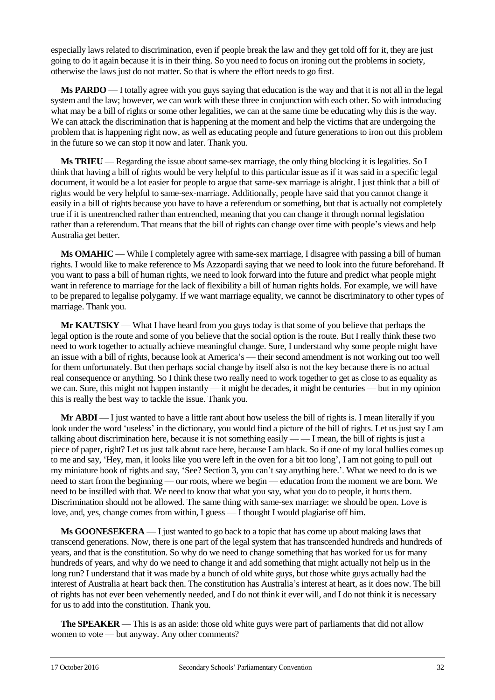especially laws related to discrimination, even if people break the law and they get told off for it, they are just going to do it again because it is in their thing. So you need to focus on ironing out the problems in society, otherwise the laws just do not matter. So that is where the effort needs to go first.

**Ms PARDO** — I totally agree with you guys saying that education is the way and that it is not all in the legal system and the law; however, we can work with these three in conjunction with each other. So with introducing what may be a bill of rights or some other legalities, we can at the same time be educating why this is the way. We can attack the discrimination that is happening at the moment and help the victims that are undergoing the problem that is happening right now, as well as educating people and future generations to iron out this problem in the future so we can stop it now and later. Thank you.

**Ms TRIEU** — Regarding the issue about same-sex marriage, the only thing blocking it is legalities. So I think that having a bill of rights would be very helpful to this particular issue as if it was said in a specific legal document, it would be a lot easier for people to argue that same-sex marriage is alright. I just think that a bill of rights would be very helpful to same-sex-marriage. Additionally, people have said that you cannot change it easily in a bill of rights because you have to have a referendum or something, but that is actually not completely true if it is unentrenched rather than entrenched, meaning that you can change it through normal legislation rather than a referendum. That means that the bill of rights can change over time with people's views and help Australia get better.

**Ms OMAHIC** — While I completely agree with same-sex marriage, I disagree with passing a bill of human rights. I would like to make reference to Ms Azzopardi saying that we need to look into the future beforehand. If you want to pass a bill of human rights, we need to look forward into the future and predict what people might want in reference to marriage for the lack of flexibility a bill of human rights holds. For example, we will have to be prepared to legalise polygamy. If we want marriage equality, we cannot be discriminatory to other types of marriage. Thank you.

**Mr KAUTSKY** — What I have heard from you guys today is that some of you believe that perhaps the legal option is the route and some of you believe that the social option is the route. But I really think these two need to work together to actually achieve meaningful change. Sure, I understand why some people might have an issue with a bill of rights, because look at America's — their second amendment is not working out too well for them unfortunately. But then perhaps social change by itself also is not the key because there is no actual real consequence or anything. So I think these two really need to work together to get as close to as equality as we can. Sure, this might not happen instantly — it might be decades, it might be centuries — but in my opinion this is really the best way to tackle the issue. Thank you.

**Mr ABDI** — I just wanted to have a little rant about how useless the bill of rights is. I mean literally if you look under the word 'useless' in the dictionary, you would find a picture of the bill of rights. Let us just say I am talking about discrimination here, because it is not something easily — — I mean, the bill of rights is just a piece of paper, right? Let us just talk about race here, because I am black. So if one of my local bullies comes up to me and say, 'Hey, man, it looks like you were left in the oven for a bit too long', I am not going to pull out my miniature book of rights and say, 'See? Section 3, you can't say anything here.'. What we need to do is we need to start from the beginning — our roots, where we begin — education from the moment we are born. We need to be instilled with that. We need to know that what you say, what you do to people, it hurts them. Discrimination should not be allowed. The same thing with same-sex marriage: we should be open. Love is love, and, yes, change comes from within, I guess — I thought I would plagiarise off him.

**Ms GOONESEKERA** — I just wanted to go back to a topic that has come up about making laws that transcend generations. Now, there is one part of the legal system that has transcended hundreds and hundreds of years, and that is the constitution. So why do we need to change something that has worked for us for many hundreds of years, and why do we need to change it and add something that might actually not help us in the long run? I understand that it was made by a bunch of old white guys, but those white guys actually had the interest of Australia at heart back then. The constitution has Australia's interest at heart, as it does now. The bill of rights has not ever been vehemently needed, and I do not think it ever will, and I do not think it is necessary for us to add into the constitution. Thank you.

**The SPEAKER** — This is as an aside: those old white guys were part of parliaments that did not allow women to vote — but anyway. Any other comments?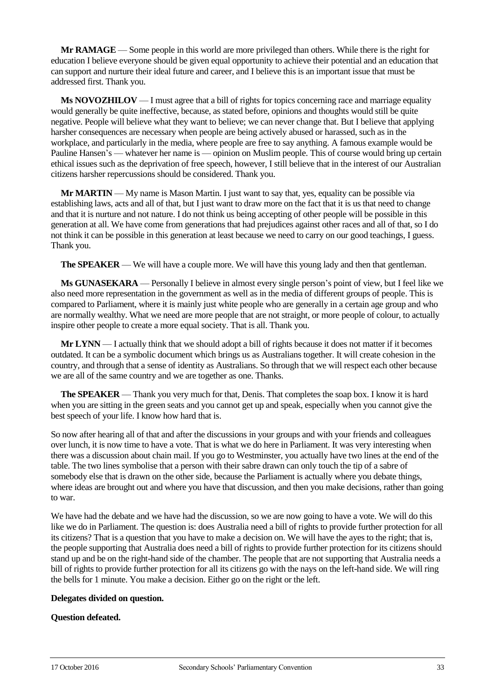**Mr RAMAGE** — Some people in this world are more privileged than others. While there is the right for education I believe everyone should be given equal opportunity to achieve their potential and an education that can support and nurture their ideal future and career, and I believe this is an important issue that must be addressed first. Thank you.

**Ms NOVOZHILOV** — I must agree that a bill of rights for topics concerning race and marriage equality would generally be quite ineffective, because, as stated before, opinions and thoughts would still be quite negative. People will believe what they want to believe; we can never change that. But I believe that applying harsher consequences are necessary when people are being actively abused or harassed, such as in the workplace, and particularly in the media, where people are free to say anything. A famous example would be Pauline Hansen's — whatever her name is — opinion on Muslim people. This of course would bring up certain ethical issues such as the deprivation of free speech, however, I still believe that in the interest of our Australian citizens harsher repercussions should be considered. Thank you.

**Mr MARTIN** — My name is Mason Martin. I just want to say that, yes, equality can be possible via establishing laws, acts and all of that, but I just want to draw more on the fact that it is us that need to change and that it is nurture and not nature. I do not think us being accepting of other people will be possible in this generation at all. We have come from generations that had prejudices against other races and all of that, so I do not think it can be possible in this generation at least because we need to carry on our good teachings, I guess. Thank you.

**The SPEAKER** — We will have a couple more. We will have this young lady and then that gentleman.

**Ms GUNASEKARA** — Personally I believe in almost every single person's point of view, but I feel like we also need more representation in the government as well as in the media of different groups of people. This is compared to Parliament, where it is mainly just white people who are generally in a certain age group and who are normally wealthy. What we need are more people that are not straight, or more people of colour, to actually inspire other people to create a more equal society. That is all. Thank you.

**Mr LYNN** — I actually think that we should adopt a bill of rights because it does not matter if it becomes outdated. It can be a symbolic document which brings us as Australians together. It will create cohesion in the country, and through that a sense of identity as Australians. So through that we will respect each other because we are all of the same country and we are together as one. Thanks.

**The SPEAKER** — Thank you very much for that, Denis. That completes the soap box. I know it is hard when you are sitting in the green seats and you cannot get up and speak, especially when you cannot give the best speech of your life. I know how hard that is.

So now after hearing all of that and after the discussions in your groups and with your friends and colleagues over lunch, it is now time to have a vote. That is what we do here in Parliament. It was very interesting when there was a discussion about chain mail. If you go to Westminster, you actually have two lines at the end of the table. The two lines symbolise that a person with their sabre drawn can only touch the tip of a sabre of somebody else that is drawn on the other side, because the Parliament is actually where you debate things, where ideas are brought out and where you have that discussion, and then you make decisions, rather than going to war.

We have had the debate and we have had the discussion, so we are now going to have a vote. We will do this like we do in Parliament. The question is: does Australia need a bill of rights to provide further protection for all its citizens? That is a question that you have to make a decision on. We will have the ayes to the right; that is, the people supporting that Australia does need a bill of rights to provide further protection for its citizens should stand up and be on the right-hand side of the chamber. The people that are not supporting that Australia needs a bill of rights to provide further protection for all its citizens go with the nays on the left-hand side. We will ring the bells for 1 minute. You make a decision. Either go on the right or the left.

# **Delegates divided on question.**

# **Question defeated.**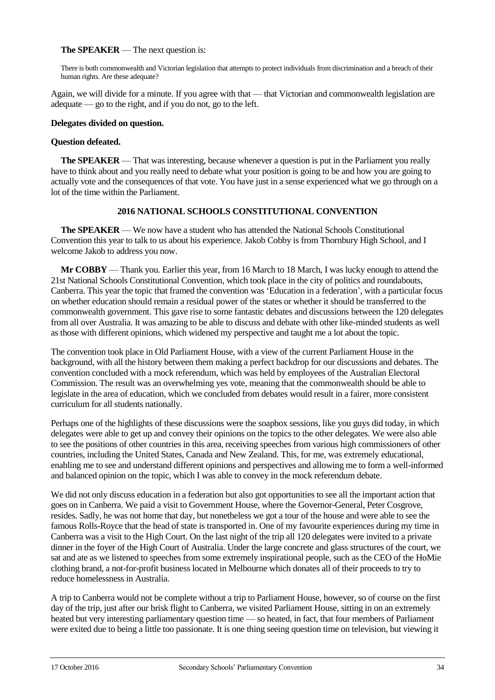#### **The SPEAKER** — The next question is:

There is both commonwealth and Victorian legislation that attempts to protect individuals from discrimination and a breach of their human rights. Are these adequate?

Again, we will divide for a minute. If you agree with that — that Victorian and commonwealth legislation are adequate — go to the right, and if you do not, go to the left.

#### **Delegates divided on question.**

#### **Question defeated.**

**The SPEAKER** — That was interesting, because whenever a question is put in the Parliament you really have to think about and you really need to debate what your position is going to be and how you are going to actually vote and the consequences of that vote. You have just in a sense experienced what we go through on a lot of the time within the Parliament.

#### **2016 NATIONAL SCHOOLS CONSTITUTIONAL CONVENTION**

**The SPEAKER** — We now have a student who has attended the National Schools Constitutional Convention this year to talk to us about his experience. Jakob Cobby is from Thornbury High School, and I welcome Jakob to address you now.

**Mr COBBY** — Thank you. Earlier this year, from 16 March to 18 March, I was lucky enough to attend the 21st National Schools Constitutional Convention, which took place in the city of politics and roundabouts, Canberra. This year the topic that framed the convention was 'Education in a federation', with a particular focus on whether education should remain a residual power of the states or whether it should be transferred to the commonwealth government. This gave rise to some fantastic debates and discussions between the 120 delegates from all over Australia. It was amazing to be able to discuss and debate with other like-minded students as well as those with different opinions, which widened my perspective and taught me a lot about the topic.

The convention took place in Old Parliament House, with a view of the current Parliament House in the background, with all the history between them making a perfect backdrop for our discussions and debates. The convention concluded with a mock referendum, which was held by employees of the Australian Electoral Commission. The result was an overwhelming yes vote, meaning that the commonwealth should be able to legislate in the area of education, which we concluded from debates would result in a fairer, more consistent curriculum for all students nationally.

Perhaps one of the highlights of these discussions were the soapbox sessions, like you guys did today, in which delegates were able to get up and convey their opinions on the topics to the other delegates. We were also able to see the positions of other countries in this area, receiving speeches from various high commissioners of other countries, including the United States, Canada and New Zealand. This, for me, was extremely educational, enabling me to see and understand different opinions and perspectives and allowing me to form a well-informed and balanced opinion on the topic, which I was able to convey in the mock referendum debate.

We did not only discuss education in a federation but also got opportunities to see all the important action that goes on in Canberra. We paid a visit to Government House, where the Governor-General, Peter Cosgrove, resides. Sadly, he was not home that day, but nonetheless we got a tour of the house and were able to see the famous Rolls-Royce that the head of state is transported in. One of my favourite experiences during my time in Canberra was a visit to the High Court. On the last night of the trip all 120 delegates were invited to a private dinner in the foyer of the High Court of Australia. Under the large concrete and glass structures of the court, we sat and ate as we listened to speeches from some extremely inspirational people, such as the CEO of the HoMie clothing brand, a not-for-profit business located in Melbourne which donates all of their proceeds to try to reduce homelessness in Australia.

A trip to Canberra would not be complete without a trip to Parliament House, however, so of course on the first day of the trip, just after our brisk flight to Canberra, we visited Parliament House, sitting in on an extremely heated but very interesting parliamentary question time — so heated, in fact, that four members of Parliament were exited due to being a little too passionate. It is one thing seeing question time on television, but viewing it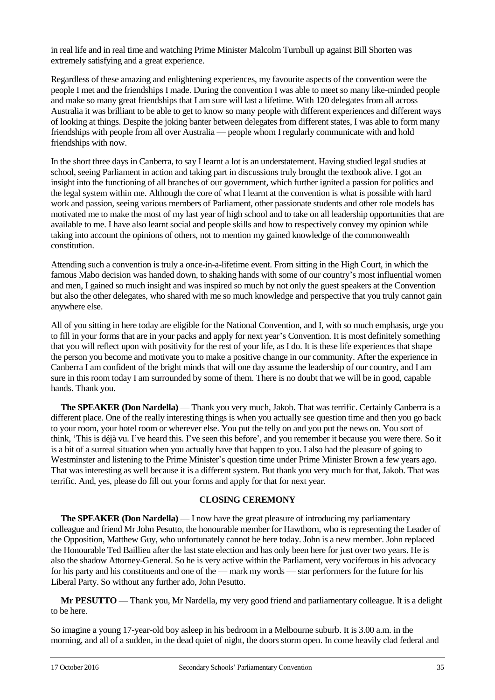in real life and in real time and watching Prime Minister Malcolm Turnbull up against Bill Shorten was extremely satisfying and a great experience.

Regardless of these amazing and enlightening experiences, my favourite aspects of the convention were the people I met and the friendships I made. During the convention I was able to meet so many like-minded people and make so many great friendships that I am sure will last a lifetime. With 120 delegates from all across Australia it was brilliant to be able to get to know so many people with different experiences and different ways of looking at things. Despite the joking banter between delegates from different states, I was able to form many friendships with people from all over Australia — people whom I regularly communicate with and hold friendships with now.

In the short three days in Canberra, to say I learnt a lot is an understatement. Having studied legal studies at school, seeing Parliament in action and taking part in discussions truly brought the textbook alive. I got an insight into the functioning of all branches of our government, which further ignited a passion for politics and the legal system within me. Although the core of what I learnt at the convention is what is possible with hard work and passion, seeing various members of Parliament, other passionate students and other role models has motivated me to make the most of my last year of high school and to take on all leadership opportunities that are available to me. I have also learnt social and people skills and how to respectively convey my opinion while taking into account the opinions of others, not to mention my gained knowledge of the commonwealth constitution.

Attending such a convention is truly a once-in-a-lifetime event. From sitting in the High Court, in which the famous Mabo decision was handed down, to shaking hands with some of our country's most influential women and men, I gained so much insight and was inspired so much by not only the guest speakers at the Convention but also the other delegates, who shared with me so much knowledge and perspective that you truly cannot gain anywhere else.

All of you sitting in here today are eligible for the National Convention, and I, with so much emphasis, urge you to fill in your forms that are in your packs and apply for next year's Convention. It is most definitely something that you will reflect upon with positivity for the rest of your life, as I do. It is these life experiences that shape the person you become and motivate you to make a positive change in our community. After the experience in Canberra I am confident of the bright minds that will one day assume the leadership of our country, and I am sure in this room today I am surrounded by some of them. There is no doubt that we will be in good, capable hands. Thank you.

**The SPEAKER (Don Nardella)** — Thank you very much, Jakob. That was terrific. Certainly Canberra is a different place. One of the really interesting things is when you actually see question time and then you go back to your room, your hotel room or wherever else. You put the telly on and you put the news on. You sort of think, 'This is déjà vu. I've heard this. I've seen this before', and you remember it because you were there. So it is a bit of a surreal situation when you actually have that happen to you. I also had the pleasure of going to Westminster and listening to the Prime Minister's question time under Prime Minister Brown a few years ago. That was interesting as well because it is a different system. But thank you very much for that, Jakob. That was terrific. And, yes, please do fill out your forms and apply for that for next year.

#### **CLOSING CEREMONY**

**The SPEAKER (Don Nardella)** — I now have the great pleasure of introducing my parliamentary colleague and friend Mr John Pesutto, the honourable member for Hawthorn, who is representing the Leader of the Opposition, Matthew Guy, who unfortunately cannot be here today. John is a new member. John replaced the Honourable Ted Baillieu after the last state election and has only been here for just over two years. He is also the shadow Attorney-General. So he is very active within the Parliament, very vociferous in his advocacy for his party and his constituents and one of the — mark my words — star performers for the future for his Liberal Party. So without any further ado, John Pesutto.

**Mr PESUTTO** — Thank you, Mr Nardella, my very good friend and parliamentary colleague. It is a delight to be here.

So imagine a young 17-year-old boy asleep in his bedroom in a Melbourne suburb. It is 3.00 a.m. in the morning, and all of a sudden, in the dead quiet of night, the doors storm open. In come heavily clad federal and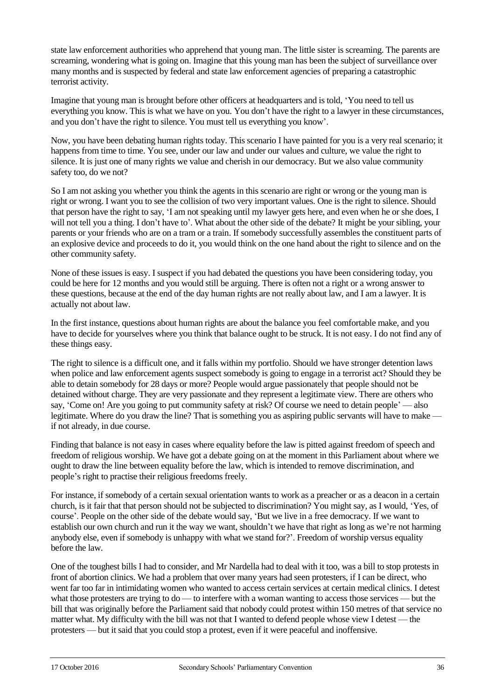state law enforcement authorities who apprehend that young man. The little sister is screaming. The parents are screaming, wondering what is going on. Imagine that this young man has been the subject of surveillance over many months and is suspected by federal and state law enforcement agencies of preparing a catastrophic terrorist activity.

Imagine that young man is brought before other officers at headquarters and is told, 'You need to tell us everything you know. This is what we have on you. You don't have the right to a lawyer in these circumstances, and you don't have the right to silence. You must tell us everything you know'.

Now, you have been debating human rights today. This scenario I have painted for you is a very real scenario; it happens from time to time. You see, under our law and under our values and culture, we value the right to silence. It is just one of many rights we value and cherish in our democracy. But we also value community safety too, do we not?

So I am not asking you whether you think the agents in this scenario are right or wrong or the young man is right or wrong. I want you to see the collision of two very important values. One is the right to silence. Should that person have the right to say, 'I am not speaking until my lawyer gets here, and even when he or she does, I will not tell you a thing. I don't have to'. What about the other side of the debate? It might be your sibling, your parents or your friends who are on a tram or a train. If somebody successfully assembles the constituent parts of an explosive device and proceeds to do it, you would think on the one hand about the right to silence and on the other community safety.

None of these issues is easy. I suspect if you had debated the questions you have been considering today, you could be here for 12 months and you would still be arguing. There is often not a right or a wrong answer to these questions, because at the end of the day human rights are not really about law, and I am a lawyer. It is actually not about law.

In the first instance, questions about human rights are about the balance you feel comfortable make, and you have to decide for yourselves where you think that balance ought to be struck. It is not easy. I do not find any of these things easy.

The right to silence is a difficult one, and it falls within my portfolio. Should we have stronger detention laws when police and law enforcement agents suspect somebody is going to engage in a terrorist act? Should they be able to detain somebody for 28 days or more? People would argue passionately that people should not be detained without charge. They are very passionate and they represent a legitimate view. There are others who say, 'Come on! Are you going to put community safety at risk? Of course we need to detain people' — also legitimate. Where do you draw the line? That is something you as aspiring public servants will have to make if not already, in due course.

Finding that balance is not easy in cases where equality before the law is pitted against freedom of speech and freedom of religious worship. We have got a debate going on at the moment in this Parliament about where we ought to draw the line between equality before the law, which is intended to remove discrimination, and people's right to practise their religious freedoms freely.

For instance, if somebody of a certain sexual orientation wants to work as a preacher or as a deacon in a certain church, is it fair that that person should not be subjected to discrimination? You might say, as I would, 'Yes, of course'. People on the other side of the debate would say, 'But we live in a free democracy. If we want to establish our own church and run it the way we want, shouldn't we have that right as long as we're not harming anybody else, even if somebody is unhappy with what we stand for?'. Freedom of worship versus equality before the law.

One of the toughest bills I had to consider, and Mr Nardella had to deal with it too, was a bill to stop protests in front of abortion clinics. We had a problem that over many years had seen protesters, if I can be direct, who went far too far in intimidating women who wanted to access certain services at certain medical clinics. I detest what those protesters are trying to do — to interfere with a woman wanting to access those services — but the bill that was originally before the Parliament said that nobody could protest within 150 metres of that service no matter what. My difficulty with the bill was not that I wanted to defend people whose view I detest — the protesters — but it said that you could stop a protest, even if it were peaceful and inoffensive.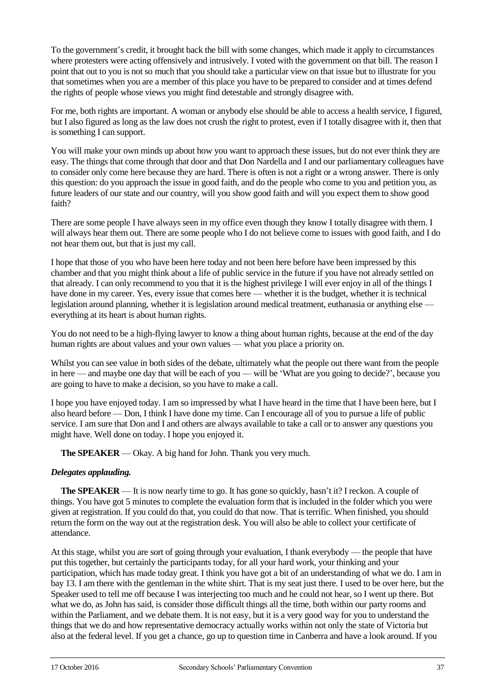To the government's credit, it brought back the bill with some changes, which made it apply to circumstances where protesters were acting offensively and intrusively. I voted with the government on that bill. The reason I point that out to you is not so much that you should take a particular view on that issue but to illustrate for you that sometimes when you are a member of this place you have to be prepared to consider and at times defend the rights of people whose views you might find detestable and strongly disagree with.

For me, both rights are important. A woman or anybody else should be able to access a health service, I figured, but I also figured as long as the law does not crush the right to protest, even if I totally disagree with it, then that is something I can support.

You will make your own minds up about how you want to approach these issues, but do not ever think they are easy. The things that come through that door and that Don Nardella and I and our parliamentary colleagues have to consider only come here because they are hard. There is often is not a right or a wrong answer. There is only this question: do you approach the issue in good faith, and do the people who come to you and petition you, as future leaders of our state and our country, will you show good faith and will you expect them to show good faith?

There are some people I have always seen in my office even though they know I totally disagree with them. I will always hear them out. There are some people who I do not believe come to issues with good faith, and I do not hear them out, but that is just my call.

I hope that those of you who have been here today and not been here before have been impressed by this chamber and that you might think about a life of public service in the future if you have not already settled on that already. I can only recommend to you that it is the highest privilege I will ever enjoy in all of the things I have done in my career. Yes, every issue that comes here — whether it is the budget, whether it is technical legislation around planning, whether it is legislation around medical treatment, euthanasia or anything else everything at its heart is about human rights.

You do not need to be a high-flying lawyer to know a thing about human rights, because at the end of the day human rights are about values and your own values — what you place a priority on.

Whilst you can see value in both sides of the debate, ultimately what the people out there want from the people in here — and maybe one day that will be each of you — will be 'What are you going to decide?', because you are going to have to make a decision, so you have to make a call.

I hope you have enjoyed today. I am so impressed by what I have heard in the time that I have been here, but I also heard before — Don, I think I have done my time. Can I encourage all of you to pursue a life of public service. I am sure that Don and I and others are always available to take a call or to answer any questions you might have. Well done on today. I hope you enjoyed it.

**The SPEAKER** — Okay. A big hand for John. Thank you very much.

#### *Delegates applauding.*

**The SPEAKER** — It is now nearly time to go. It has gone so quickly, hasn't it? I reckon. A couple of things. You have got 5 minutes to complete the evaluation form that is included in the folder which you were given at registration. If you could do that, you could do that now. That is terrific. When finished, you should return the form on the way out at the registration desk. You will also be able to collect your certificate of attendance.

At this stage, whilst you are sort of going through your evaluation, I thank everybody — the people that have put this together, but certainly the participants today, for all your hard work, your thinking and your participation, which has made today great. I think you have got a bit of an understanding of what we do. I am in bay 13. I am there with the gentleman in the white shirt. That is my seat just there. I used to be over here, but the Speaker used to tell me off because I was interjecting too much and he could not hear, so I went up there. But what we do, as John has said, is consider those difficult things all the time, both within our party rooms and within the Parliament, and we debate them. It is not easy, but it is a very good way for you to understand the things that we do and how representative democracy actually works within not only the state of Victoria but also at the federal level. If you get a chance, go up to question time in Canberra and have a look around. If you